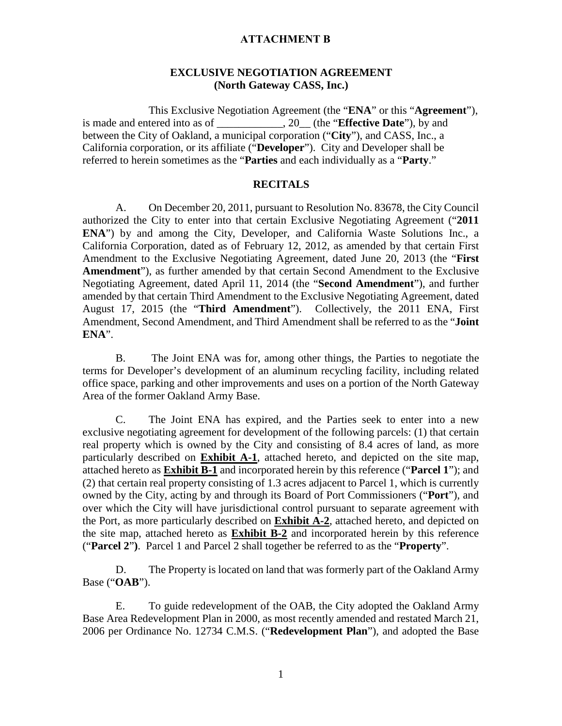#### **ATTACHMENT B**

### **EXCLUSIVE NEGOTIATION AGREEMENT (North Gateway CASS, Inc.)**

This Exclusive Negotiation Agreement (the "**ENA**" or this "**Agreement**"), is made and entered into as of  $\qquad \qquad$ , 20 (the "**Effective Date**"), by and between the City of Oakland, a municipal corporation ("**City**"), and CASS, Inc., a California corporation, or its affiliate ("**Developer**"). City and Developer shall be referred to herein sometimes as the "**Parties** and each individually as a "**Party**."

#### **RECITALS**

A. On December 20, 2011, pursuant to Resolution No. 83678, the City Council authorized the City to enter into that certain Exclusive Negotiating Agreement ("**2011 ENA**") by and among the City, Developer, and California Waste Solutions Inc., a California Corporation, dated as of February 12, 2012, as amended by that certain First Amendment to the Exclusive Negotiating Agreement, dated June 20, 2013 (the "**First Amendment**"), as further amended by that certain Second Amendment to the Exclusive Negotiating Agreement, dated April 11, 2014 (the "**Second Amendment**"), and further amended by that certain Third Amendment to the Exclusive Negotiating Agreement, dated August 17, 2015 (the "**Third Amendment**"). Collectively, the 2011 ENA, First Amendment, Second Amendment, and Third Amendment shall be referred to as the "**Joint ENA**".

B. The Joint ENA was for, among other things, the Parties to negotiate the terms for Developer's development of an aluminum recycling facility, including related office space, parking and other improvements and uses on a portion of the North Gateway Area of the former Oakland Army Base.

C. The Joint ENA has expired, and the Parties seek to enter into a new exclusive negotiating agreement for development of the following parcels: (1) that certain real property which is owned by the City and consisting of 8.4 acres of land, as more particularly described on **Exhibit A-1**, attached hereto, and depicted on the site map, attached hereto as **Exhibit B-1** and incorporated herein by this reference ("**Parcel 1**"); and (2) that certain real property consisting of 1.3 acres adjacent to Parcel 1, which is currently owned by the City, acting by and through its Board of Port Commissioners ("**Port**"), and over which the City will have jurisdictional control pursuant to separate agreement with the Port, as more particularly described on **Exhibit A-2**, attached hereto, and depicted on the site map, attached hereto as **Exhibit B-2** and incorporated herein by this reference ("**Parcel 2**"**)**. Parcel 1 and Parcel 2 shall together be referred to as the "**Property**".

D. The Property is located on land that was formerly part of the Oakland Army Base ("**OAB**").

E. To guide redevelopment of the OAB, the City adopted the Oakland Army Base Area Redevelopment Plan in 2000, as most recently amended and restated March 21, 2006 per Ordinance No. 12734 C.M.S. ("**Redevelopment Plan**"), and adopted the Base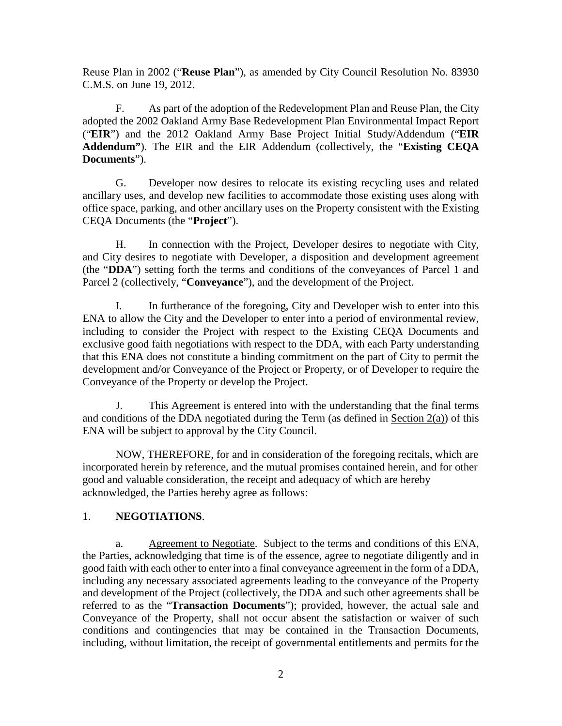Reuse Plan in 2002 ("**Reuse Plan**"), as amended by City Council Resolution No. 83930 C.M.S. on June 19, 2012.

F. As part of the adoption of the Redevelopment Plan and Reuse Plan, the City adopted the 2002 Oakland Army Base Redevelopment Plan Environmental Impact Report ("**EIR**") and the 2012 Oakland Army Base Project Initial Study/Addendum ("**EIR Addendum"**). The EIR and the EIR Addendum (collectively, the "**Existing CEQA Documents**").

G. Developer now desires to relocate its existing recycling uses and related ancillary uses, and develop new facilities to accommodate those existing uses along with office space, parking, and other ancillary uses on the Property consistent with the Existing CEQA Documents (the "**Project**").

H. In connection with the Project, Developer desires to negotiate with City, and City desires to negotiate with Developer, a disposition and development agreement (the "**DDA**") setting forth the terms and conditions of the conveyances of Parcel 1 and Parcel 2 (collectively, "**Conveyance**"), and the development of the Project.

I. In furtherance of the foregoing, City and Developer wish to enter into this ENA to allow the City and the Developer to enter into a period of environmental review, including to consider the Project with respect to the Existing CEQA Documents and exclusive good faith negotiations with respect to the DDA, with each Party understanding that this ENA does not constitute a binding commitment on the part of City to permit the development and/or Conveyance of the Project or Property, or of Developer to require the Conveyance of the Property or develop the Project.

J. This Agreement is entered into with the understanding that the final terms and conditions of the DDA negotiated during the Term (as defined in Section  $2(a)$ ) of this ENA will be subject to approval by the City Council.

NOW, THEREFORE, for and in consideration of the foregoing recitals, which are incorporated herein by reference, and the mutual promises contained herein, and for other good and valuable consideration, the receipt and adequacy of which are hereby acknowledged, the Parties hereby agree as follows:

### 1. **NEGOTIATIONS**.

a. Agreement to Negotiate. Subject to the terms and conditions of this ENA, the Parties, acknowledging that time is of the essence, agree to negotiate diligently and in good faith with each other to enter into a final conveyance agreement in the form of a DDA, including any necessary associated agreements leading to the conveyance of the Property and development of the Project (collectively, the DDA and such other agreements shall be referred to as the "**Transaction Documents**"); provided, however, the actual sale and Conveyance of the Property, shall not occur absent the satisfaction or waiver of such conditions and contingencies that may be contained in the Transaction Documents, including, without limitation, the receipt of governmental entitlements and permits for the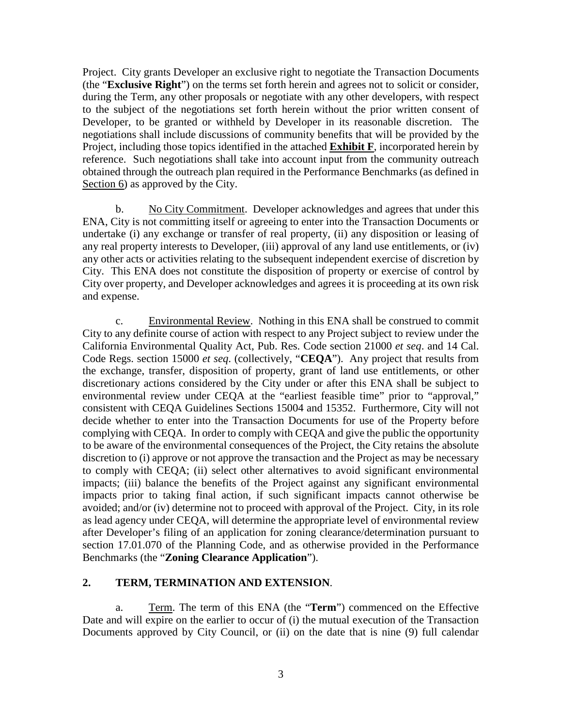Project. City grants Developer an exclusive right to negotiate the Transaction Documents (the "**Exclusive Right**") on the terms set forth herein and agrees not to solicit or consider, during the Term, any other proposals or negotiate with any other developers, with respect to the subject of the negotiations set forth herein without the prior written consent of Developer, to be granted or withheld by Developer in its reasonable discretion. The negotiations shall include discussions of community benefits that will be provided by the Project, including those topics identified in the attached **Exhibit F**, incorporated herein by reference. Such negotiations shall take into account input from the community outreach obtained through the outreach plan required in the Performance Benchmarks (as defined in Section 6) as approved by the City.

b. No City Commitment. Developer acknowledges and agrees that under this ENA, City is not committing itself or agreeing to enter into the Transaction Documents or undertake (i) any exchange or transfer of real property, (ii) any disposition or leasing of any real property interests to Developer, (iii) approval of any land use entitlements, or (iv) any other acts or activities relating to the subsequent independent exercise of discretion by City. This ENA does not constitute the disposition of property or exercise of control by City over property, and Developer acknowledges and agrees it is proceeding at its own risk and expense.

c. Environmental Review. Nothing in this ENA shall be construed to commit City to any definite course of action with respect to any Project subject to review under the California Environmental Quality Act, Pub. Res. Code section 21000 *et seq*. and 14 Cal. Code Regs. section 15000 *et seq*. (collectively, "**CEQA**"). Any project that results from the exchange, transfer, disposition of property, grant of land use entitlements, or other discretionary actions considered by the City under or after this ENA shall be subject to environmental review under CEQA at the "earliest feasible time" prior to "approval," consistent with CEQA Guidelines Sections 15004 and 15352. Furthermore, City will not decide whether to enter into the Transaction Documents for use of the Property before complying with CEQA. In order to comply with CEQA and give the public the opportunity to be aware of the environmental consequences of the Project, the City retains the absolute discretion to (i) approve or not approve the transaction and the Project as may be necessary to comply with CEQA; (ii) select other alternatives to avoid significant environmental impacts; (iii) balance the benefits of the Project against any significant environmental impacts prior to taking final action, if such significant impacts cannot otherwise be avoided; and/or (iv) determine not to proceed with approval of the Project. City, in its role as lead agency under CEQA, will determine the appropriate level of environmental review after Developer's filing of an application for zoning clearance/determination pursuant to section 17.01.070 of the Planning Code, and as otherwise provided in the Performance Benchmarks (the "**Zoning Clearance Application**").

### **2. TERM, TERMINATION AND EXTENSION**.

a. Term. The term of this ENA (the "**Term**") commenced on the Effective Date and will expire on the earlier to occur of (i) the mutual execution of the Transaction Documents approved by City Council, or (ii) on the date that is nine (9) full calendar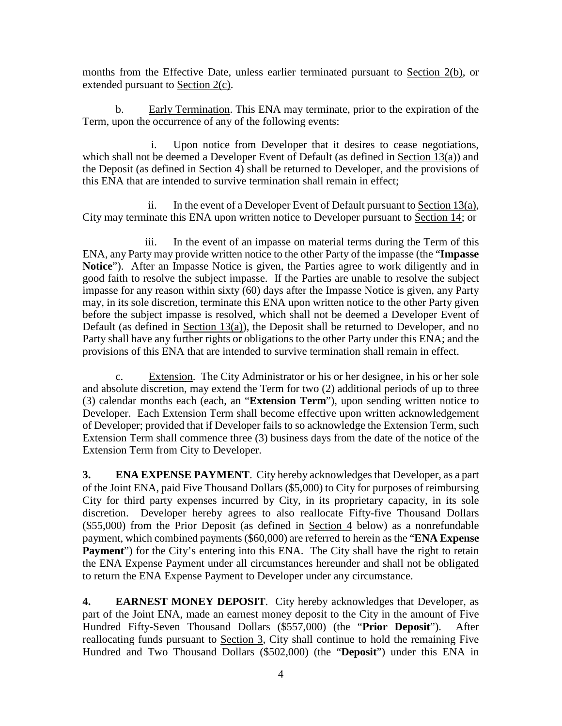months from the Effective Date, unless earlier terminated pursuant to Section 2(b), or extended pursuant to Section 2(c).

b. Early Termination. This ENA may terminate, prior to the expiration of the Term, upon the occurrence of any of the following events:

i. Upon notice from Developer that it desires to cease negotiations, which shall not be deemed a Developer Event of Default (as defined in Section 13(a)) and the Deposit (as defined in Section 4) shall be returned to Developer, and the provisions of this ENA that are intended to survive termination shall remain in effect;

ii. In the event of a Developer Event of Default pursuant to Section 13(a), City may terminate this ENA upon written notice to Developer pursuant to Section 14; or

iii. In the event of an impasse on material terms during the Term of this ENA, any Party may provide written notice to the other Party of the impasse (the "**Impasse Notice**"). After an Impasse Notice is given, the Parties agree to work diligently and in good faith to resolve the subject impasse. If the Parties are unable to resolve the subject impasse for any reason within sixty (60) days after the Impasse Notice is given, any Party may, in its sole discretion, terminate this ENA upon written notice to the other Party given before the subject impasse is resolved, which shall not be deemed a Developer Event of Default (as defined in Section 13(a)), the Deposit shall be returned to Developer, and no Party shall have any further rights or obligations to the other Party under this ENA; and the provisions of this ENA that are intended to survive termination shall remain in effect.

c. Extension. The City Administrator or his or her designee, in his or her sole and absolute discretion, may extend the Term for two (2) additional periods of up to three (3) calendar months each (each, an "**Extension Term**"), upon sending written notice to Developer. Each Extension Term shall become effective upon written acknowledgement of Developer; provided that if Developer fails to so acknowledge the Extension Term, such Extension Term shall commence three (3) business days from the date of the notice of the Extension Term from City to Developer.

**3. ENA EXPENSE PAYMENT**. City hereby acknowledges that Developer, as a part of the Joint ENA, paid Five Thousand Dollars (\$5,000) to City for purposes of reimbursing City for third party expenses incurred by City, in its proprietary capacity, in its sole discretion. Developer hereby agrees to also reallocate Fifty-five Thousand Dollars (\$55,000) from the Prior Deposit (as defined in Section 4 below) as a nonrefundable payment, which combined payments (\$60,000) are referred to herein as the "**ENA Expense**  Payment") for the City's entering into this ENA. The City shall have the right to retain the ENA Expense Payment under all circumstances hereunder and shall not be obligated to return the ENA Expense Payment to Developer under any circumstance.

**4. EARNEST MONEY DEPOSIT**. City hereby acknowledges that Developer, as part of the Joint ENA, made an earnest money deposit to the City in the amount of Five Hundred Fifty-Seven Thousand Dollars (\$557,000) (the "**Prior Deposit**"). After reallocating funds pursuant to Section 3, City shall continue to hold the remaining Five Hundred and Two Thousand Dollars (\$502,000) (the "**Deposit**") under this ENA in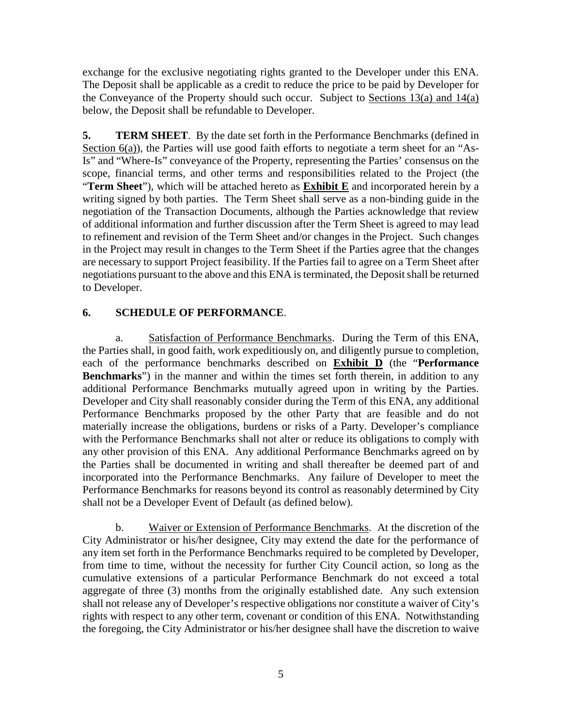exchange for the exclusive negotiating rights granted to the Developer under this ENA. The Deposit shall be applicable as a credit to reduce the price to be paid by Developer for the Conveyance of the Property should such occur. Subject to Sections 13(a) and 14(a) below, the Deposit shall be refundable to Developer.

**5. TERM SHEET**. By the date set forth in the Performance Benchmarks (defined in Section 6(a)), the Parties will use good faith efforts to negotiate a term sheet for an "As-Is" and "Where-Is" conveyance of the Property, representing the Parties' consensus on the scope, financial terms, and other terms and responsibilities related to the Project (the "**Term Sheet**"), which will be attached hereto as **Exhibit E** and incorporated herein by a writing signed by both parties. The Term Sheet shall serve as a non-binding guide in the negotiation of the Transaction Documents, although the Parties acknowledge that review of additional information and further discussion after the Term Sheet is agreed to may lead to refinement and revision of the Term Sheet and/or changes in the Project. Such changes in the Project may result in changes to the Term Sheet if the Parties agree that the changes are necessary to support Project feasibility. If the Parties fail to agree on a Term Sheet after negotiations pursuant to the above and this ENA is terminated, the Deposit shall be returned to Developer.

## **6. SCHEDULE OF PERFORMANCE**.

a. Satisfaction of Performance Benchmarks. During the Term of this ENA, the Parties shall, in good faith, work expeditiously on, and diligently pursue to completion, each of the performance benchmarks described on **Exhibit D** (the "**Performance Benchmarks**") in the manner and within the times set forth therein, in addition to any additional Performance Benchmarks mutually agreed upon in writing by the Parties. Developer and City shall reasonably consider during the Term of this ENA, any additional Performance Benchmarks proposed by the other Party that are feasible and do not materially increase the obligations, burdens or risks of a Party. Developer's compliance with the Performance Benchmarks shall not alter or reduce its obligations to comply with any other provision of this ENA. Any additional Performance Benchmarks agreed on by the Parties shall be documented in writing and shall thereafter be deemed part of and incorporated into the Performance Benchmarks. Any failure of Developer to meet the Performance Benchmarks for reasons beyond its control as reasonably determined by City shall not be a Developer Event of Default (as defined below).

b. Waiver or Extension of Performance Benchmarks. At the discretion of the City Administrator or his/her designee, City may extend the date for the performance of any item set forth in the Performance Benchmarks required to be completed by Developer, from time to time, without the necessity for further City Council action, so long as the cumulative extensions of a particular Performance Benchmark do not exceed a total aggregate of three (3) months from the originally established date. Any such extension shall not release any of Developer's respective obligations nor constitute a waiver of City's rights with respect to any other term, covenant or condition of this ENA. Notwithstanding the foregoing, the City Administrator or his/her designee shall have the discretion to waive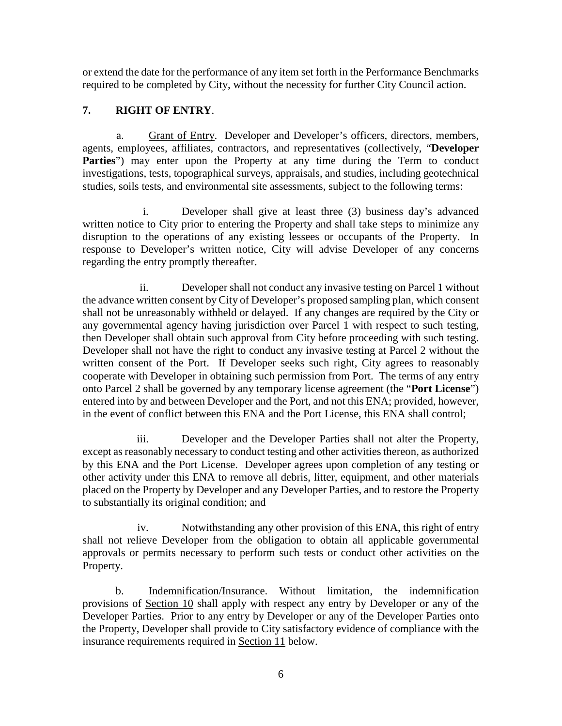or extend the date for the performance of any item set forth in the Performance Benchmarks required to be completed by City, without the necessity for further City Council action.

## **7. RIGHT OF ENTRY**.

a. Grant of Entry. Developer and Developer's officers, directors, members, agents, employees, affiliates, contractors, and representatives (collectively, "**Developer**  Parties") may enter upon the Property at any time during the Term to conduct investigations, tests, topographical surveys, appraisals, and studies, including geotechnical studies, soils tests, and environmental site assessments, subject to the following terms:

i. Developer shall give at least three (3) business day's advanced written notice to City prior to entering the Property and shall take steps to minimize any disruption to the operations of any existing lessees or occupants of the Property. In response to Developer's written notice, City will advise Developer of any concerns regarding the entry promptly thereafter.

ii. Developer shall not conduct any invasive testing on Parcel 1 without the advance written consent by City of Developer's proposed sampling plan, which consent shall not be unreasonably withheld or delayed. If any changes are required by the City or any governmental agency having jurisdiction over Parcel 1 with respect to such testing, then Developer shall obtain such approval from City before proceeding with such testing. Developer shall not have the right to conduct any invasive testing at Parcel 2 without the written consent of the Port. If Developer seeks such right, City agrees to reasonably cooperate with Developer in obtaining such permission from Port. The terms of any entry onto Parcel 2 shall be governed by any temporary license agreement (the "**Port License**") entered into by and between Developer and the Port, and not this ENA; provided, however, in the event of conflict between this ENA and the Port License, this ENA shall control;

iii. Developer and the Developer Parties shall not alter the Property, except as reasonably necessary to conduct testing and other activities thereon, as authorized by this ENA and the Port License. Developer agrees upon completion of any testing or other activity under this ENA to remove all debris, litter, equipment, and other materials placed on the Property by Developer and any Developer Parties, and to restore the Property to substantially its original condition; and

iv. Notwithstanding any other provision of this ENA, this right of entry shall not relieve Developer from the obligation to obtain all applicable governmental approvals or permits necessary to perform such tests or conduct other activities on the Property.

b. Indemnification/Insurance. Without limitation, the indemnification provisions of Section 10 shall apply with respect any entry by Developer or any of the Developer Parties. Prior to any entry by Developer or any of the Developer Parties onto the Property, Developer shall provide to City satisfactory evidence of compliance with the insurance requirements required in Section 11 below.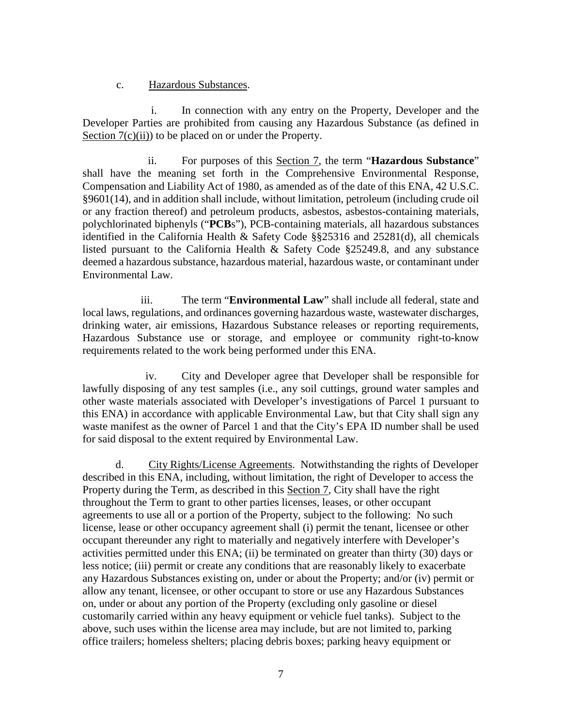### c. Hazardous Substances.

i. In connection with any entry on the Property, Developer and the Developer Parties are prohibited from causing any Hazardous Substance (as defined in Section  $7(c)(ii)$  to be placed on or under the Property.

ii. For purposes of this Section 7, the term "**Hazardous Substance**" shall have the meaning set forth in the Comprehensive Environmental Response, Compensation and Liability Act of 1980, as amended as of the date of this ENA, 42 U.S.C. §9601(14), and in addition shall include, without limitation, petroleum (including crude oil or any fraction thereof) and petroleum products, asbestos, asbestos-containing materials, polychlorinated biphenyls ("**PCB**s"), PCB-containing materials, all hazardous substances identified in the California Health & Safety Code §§25316 and 25281(d), all chemicals listed pursuant to the California Health & Safety Code §25249.8, and any substance deemed a hazardous substance, hazardous material, hazardous waste, or contaminant under Environmental Law.

iii. The term "**Environmental Law**" shall include all federal, state and local laws, regulations, and ordinances governing hazardous waste, wastewater discharges, drinking water, air emissions, Hazardous Substance releases or reporting requirements, Hazardous Substance use or storage, and employee or community right-to-know requirements related to the work being performed under this ENA.

iv. City and Developer agree that Developer shall be responsible for lawfully disposing of any test samples (i.e., any soil cuttings, ground water samples and other waste materials associated with Developer's investigations of Parcel 1 pursuant to this ENA) in accordance with applicable Environmental Law, but that City shall sign any waste manifest as the owner of Parcel 1 and that the City's EPA ID number shall be used for said disposal to the extent required by Environmental Law.

d. City Rights/License Agreements. Notwithstanding the rights of Developer described in this ENA, including, without limitation, the right of Developer to access the Property during the Term, as described in this Section 7, City shall have the right throughout the Term to grant to other parties licenses, leases, or other occupant agreements to use all or a portion of the Property, subject to the following: No such license, lease or other occupancy agreement shall (i) permit the tenant, licensee or other occupant thereunder any right to materially and negatively interfere with Developer's activities permitted under this ENA; (ii) be terminated on greater than thirty (30) days or less notice; (iii) permit or create any conditions that are reasonably likely to exacerbate any Hazardous Substances existing on, under or about the Property; and/or (iv) permit or allow any tenant, licensee, or other occupant to store or use any Hazardous Substances on, under or about any portion of the Property (excluding only gasoline or diesel customarily carried within any heavy equipment or vehicle fuel tanks). Subject to the above, such uses within the license area may include, but are not limited to, parking office trailers; homeless shelters; placing debris boxes; parking heavy equipment or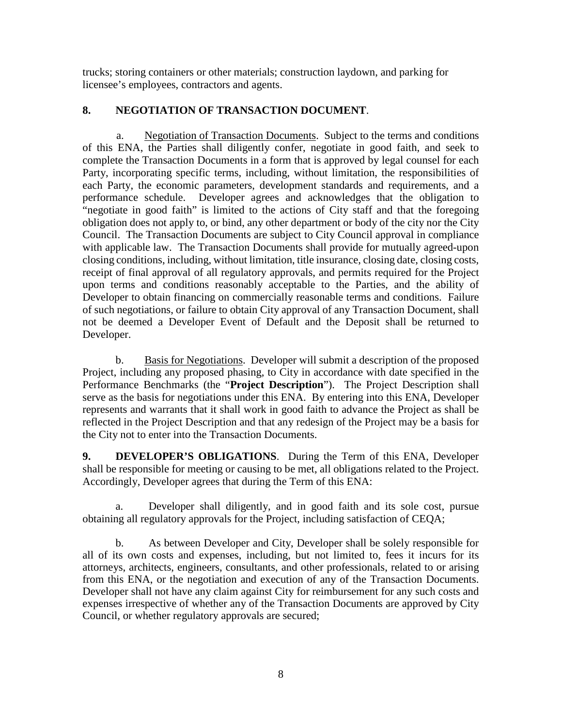trucks; storing containers or other materials; construction laydown, and parking for licensee's employees, contractors and agents.

## **8. NEGOTIATION OF TRANSACTION DOCUMENT**.

a. Negotiation of Transaction Documents. Subject to the terms and conditions of this ENA, the Parties shall diligently confer, negotiate in good faith, and seek to complete the Transaction Documents in a form that is approved by legal counsel for each Party, incorporating specific terms, including, without limitation, the responsibilities of each Party, the economic parameters, development standards and requirements, and a performance schedule. Developer agrees and acknowledges that the obligation to "negotiate in good faith" is limited to the actions of City staff and that the foregoing obligation does not apply to, or bind, any other department or body of the city nor the City Council. The Transaction Documents are subject to City Council approval in compliance with applicable law. The Transaction Documents shall provide for mutually agreed-upon closing conditions, including, without limitation, title insurance, closing date, closing costs, receipt of final approval of all regulatory approvals, and permits required for the Project upon terms and conditions reasonably acceptable to the Parties, and the ability of Developer to obtain financing on commercially reasonable terms and conditions. Failure of such negotiations, or failure to obtain City approval of any Transaction Document, shall not be deemed a Developer Event of Default and the Deposit shall be returned to Developer.

b. Basis for Negotiations. Developer will submit a description of the proposed Project, including any proposed phasing, to City in accordance with date specified in the Performance Benchmarks (the "**Project Description**"). The Project Description shall serve as the basis for negotiations under this ENA. By entering into this ENA, Developer represents and warrants that it shall work in good faith to advance the Project as shall be reflected in the Project Description and that any redesign of the Project may be a basis for the City not to enter into the Transaction Documents.

**9. DEVELOPER'S OBLIGATIONS**. During the Term of this ENA, Developer shall be responsible for meeting or causing to be met, all obligations related to the Project. Accordingly, Developer agrees that during the Term of this ENA:

a. Developer shall diligently, and in good faith and its sole cost, pursue obtaining all regulatory approvals for the Project, including satisfaction of CEQA;

b. As between Developer and City, Developer shall be solely responsible for all of its own costs and expenses, including, but not limited to, fees it incurs for its attorneys, architects, engineers, consultants, and other professionals, related to or arising from this ENA, or the negotiation and execution of any of the Transaction Documents. Developer shall not have any claim against City for reimbursement for any such costs and expenses irrespective of whether any of the Transaction Documents are approved by City Council, or whether regulatory approvals are secured;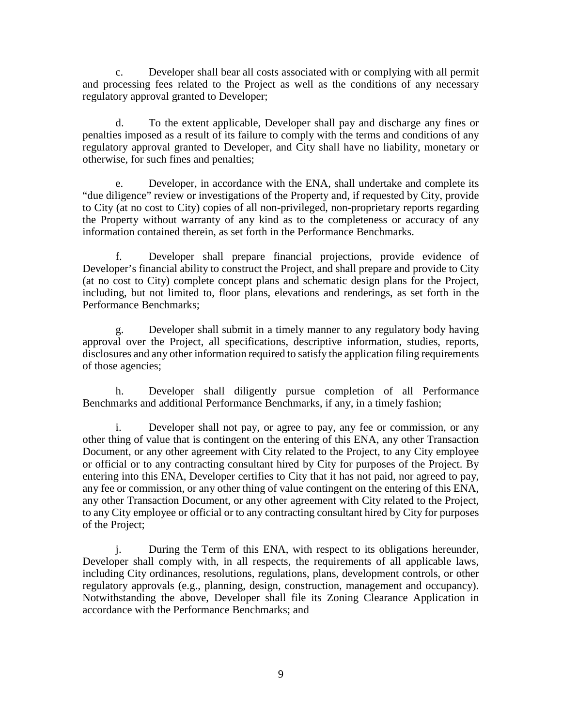c. Developer shall bear all costs associated with or complying with all permit and processing fees related to the Project as well as the conditions of any necessary regulatory approval granted to Developer;

d. To the extent applicable, Developer shall pay and discharge any fines or penalties imposed as a result of its failure to comply with the terms and conditions of any regulatory approval granted to Developer, and City shall have no liability, monetary or otherwise, for such fines and penalties;

e. Developer, in accordance with the ENA, shall undertake and complete its "due diligence" review or investigations of the Property and, if requested by City, provide to City (at no cost to City) copies of all non-privileged, non-proprietary reports regarding the Property without warranty of any kind as to the completeness or accuracy of any information contained therein, as set forth in the Performance Benchmarks.

f. Developer shall prepare financial projections, provide evidence of Developer's financial ability to construct the Project, and shall prepare and provide to City (at no cost to City) complete concept plans and schematic design plans for the Project, including, but not limited to, floor plans, elevations and renderings, as set forth in the Performance Benchmarks;

g. Developer shall submit in a timely manner to any regulatory body having approval over the Project, all specifications, descriptive information, studies, reports, disclosures and any other information required to satisfy the application filing requirements of those agencies;

h. Developer shall diligently pursue completion of all Performance Benchmarks and additional Performance Benchmarks, if any, in a timely fashion;

i. Developer shall not pay, or agree to pay, any fee or commission, or any other thing of value that is contingent on the entering of this ENA, any other Transaction Document, or any other agreement with City related to the Project, to any City employee or official or to any contracting consultant hired by City for purposes of the Project. By entering into this ENA, Developer certifies to City that it has not paid, nor agreed to pay, any fee or commission, or any other thing of value contingent on the entering of this ENA, any other Transaction Document, or any other agreement with City related to the Project, to any City employee or official or to any contracting consultant hired by City for purposes of the Project;

j. During the Term of this ENA, with respect to its obligations hereunder, Developer shall comply with, in all respects, the requirements of all applicable laws, including City ordinances, resolutions, regulations, plans, development controls, or other regulatory approvals (e.g., planning, design, construction, management and occupancy). Notwithstanding the above, Developer shall file its Zoning Clearance Application in accordance with the Performance Benchmarks; and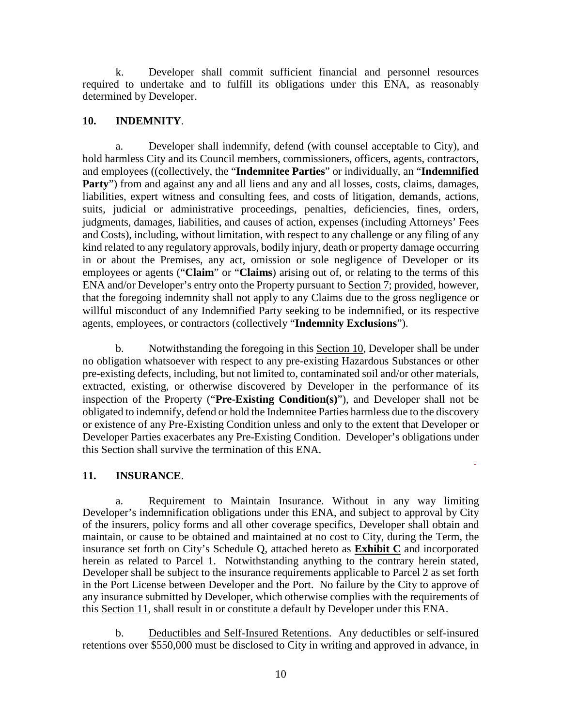k. Developer shall commit sufficient financial and personnel resources required to undertake and to fulfill its obligations under this ENA, as reasonably determined by Developer.

### **10. INDEMNITY**.

a. Developer shall indemnify, defend (with counsel acceptable to City), and hold harmless City and its Council members, commissioners, officers, agents, contractors, and employees ((collectively, the "**Indemnitee Parties**" or individually, an "**Indemnified**  Party") from and against any and all liens and any and all losses, costs, claims, damages, liabilities, expert witness and consulting fees, and costs of litigation, demands, actions, suits, judicial or administrative proceedings, penalties, deficiencies, fines, orders, judgments, damages, liabilities, and causes of action, expenses (including Attorneys' Fees and Costs), including, without limitation, with respect to any challenge or any filing of any kind related to any regulatory approvals, bodily injury, death or property damage occurring in or about the Premises, any act, omission or sole negligence of Developer or its employees or agents ("**Claim**" or "**Claims**) arising out of, or relating to the terms of this ENA and/or Developer's entry onto the Property pursuant to Section 7; provided, however, that the foregoing indemnity shall not apply to any Claims due to the gross negligence or willful misconduct of any Indemnified Party seeking to be indemnified, or its respective agents, employees, or contractors (collectively "**Indemnity Exclusions**").

b. Notwithstanding the foregoing in this Section 10, Developer shall be under no obligation whatsoever with respect to any pre-existing Hazardous Substances or other pre-existing defects, including, but not limited to, contaminated soil and/or other materials, extracted, existing, or otherwise discovered by Developer in the performance of its inspection of the Property ("**Pre-Existing Condition(s)**"), and Developer shall not be obligated to indemnify, defend or hold the Indemnitee Parties harmless due to the discovery or existence of any Pre-Existing Condition unless and only to the extent that Developer or Developer Parties exacerbates any Pre-Existing Condition. Developer's obligations under this Section shall survive the termination of this ENA.

### **11. INSURANCE**.

a. Requirement to Maintain Insurance. Without in any way limiting Developer's indemnification obligations under this ENA, and subject to approval by City of the insurers, policy forms and all other coverage specifics, Developer shall obtain and maintain, or cause to be obtained and maintained at no cost to City, during the Term, the insurance set forth on City's Schedule Q, attached hereto as **Exhibit C** and incorporated herein as related to Parcel 1. Notwithstanding anything to the contrary herein stated, Developer shall be subject to the insurance requirements applicable to Parcel 2 as set forth in the Port License between Developer and the Port. No failure by the City to approve of any insurance submitted by Developer, which otherwise complies with the requirements of this Section 11, shall result in or constitute a default by Developer under this ENA.

b. Deductibles and Self-Insured Retentions. Any deductibles or self-insured retentions over \$550,000 must be disclosed to City in writing and approved in advance, in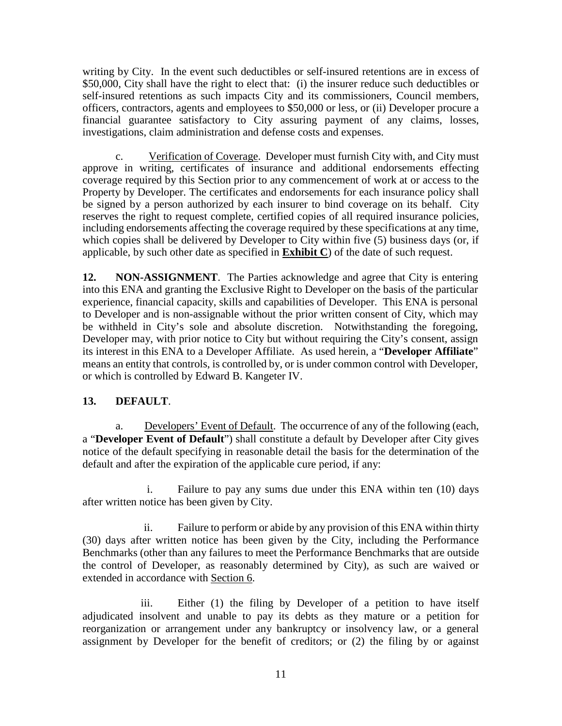writing by City. In the event such deductibles or self-insured retentions are in excess of \$50,000, City shall have the right to elect that: (i) the insurer reduce such deductibles or self-insured retentions as such impacts City and its commissioners, Council members, officers, contractors, agents and employees to \$50,000 or less, or (ii) Developer procure a financial guarantee satisfactory to City assuring payment of any claims, losses, investigations, claim administration and defense costs and expenses.

c. Verification of Coverage. Developer must furnish City with, and City must approve in writing, certificates of insurance and additional endorsements effecting coverage required by this Section prior to any commencement of work at or access to the Property by Developer. The certificates and endorsements for each insurance policy shall be signed by a person authorized by each insurer to bind coverage on its behalf. City reserves the right to request complete, certified copies of all required insurance policies, including endorsements affecting the coverage required by these specifications at any time, which copies shall be delivered by Developer to City within five (5) business days (or, if applicable, by such other date as specified in **Exhibit C**) of the date of such request.

**12. NON-ASSIGNMENT**. The Parties acknowledge and agree that City is entering into this ENA and granting the Exclusive Right to Developer on the basis of the particular experience, financial capacity, skills and capabilities of Developer. This ENA is personal to Developer and is non-assignable without the prior written consent of City, which may be withheld in City's sole and absolute discretion. Notwithstanding the foregoing, Developer may, with prior notice to City but without requiring the City's consent, assign its interest in this ENA to a Developer Affiliate. As used herein, a "**Developer Affiliate**" means an entity that controls, is controlled by, or is under common control with Developer, or which is controlled by Edward B. Kangeter IV.

## **13. DEFAULT**.

a. Developers' Event of Default. The occurrence of any of the following (each, a "**Developer Event of Default**") shall constitute a default by Developer after City gives notice of the default specifying in reasonable detail the basis for the determination of the default and after the expiration of the applicable cure period, if any:

i. Failure to pay any sums due under this ENA within ten (10) days after written notice has been given by City.

ii. Failure to perform or abide by any provision of this ENA within thirty (30) days after written notice has been given by the City, including the Performance Benchmarks (other than any failures to meet the Performance Benchmarks that are outside the control of Developer, as reasonably determined by City), as such are waived or extended in accordance with Section 6.

iii. Either (1) the filing by Developer of a petition to have itself adjudicated insolvent and unable to pay its debts as they mature or a petition for reorganization or arrangement under any bankruptcy or insolvency law, or a general assignment by Developer for the benefit of creditors; or (2) the filing by or against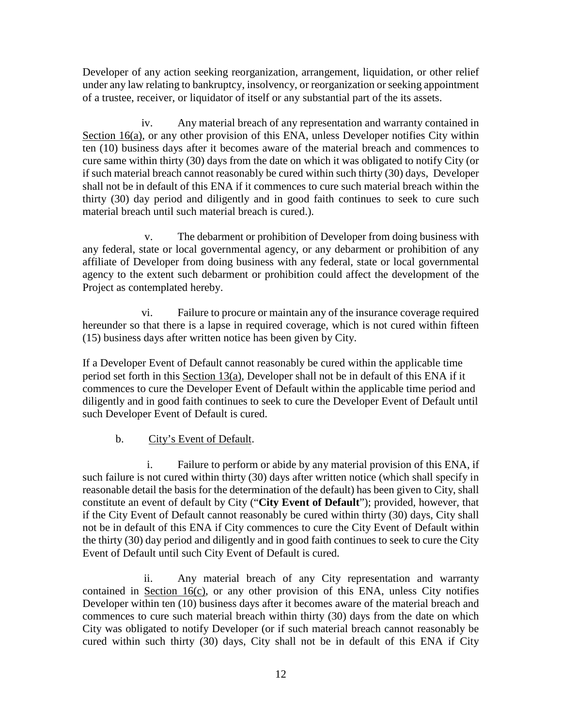Developer of any action seeking reorganization, arrangement, liquidation, or other relief under any law relating to bankruptcy, insolvency, or reorganization or seeking appointment of a trustee, receiver, or liquidator of itself or any substantial part of the its assets.

iv. Any material breach of any representation and warranty contained in Section 16(a), or any other provision of this ENA, unless Developer notifies City within ten (10) business days after it becomes aware of the material breach and commences to cure same within thirty (30) days from the date on which it was obligated to notify City (or if such material breach cannot reasonably be cured within such thirty (30) days, Developer shall not be in default of this ENA if it commences to cure such material breach within the thirty (30) day period and diligently and in good faith continues to seek to cure such material breach until such material breach is cured.).

v. The debarment or prohibition of Developer from doing business with any federal, state or local governmental agency, or any debarment or prohibition of any affiliate of Developer from doing business with any federal, state or local governmental agency to the extent such debarment or prohibition could affect the development of the Project as contemplated hereby.

vi. Failure to procure or maintain any of the insurance coverage required hereunder so that there is a lapse in required coverage, which is not cured within fifteen (15) business days after written notice has been given by City.

If a Developer Event of Default cannot reasonably be cured within the applicable time period set forth in this Section  $13(a)$ , Developer shall not be in default of this ENA if it commences to cure the Developer Event of Default within the applicable time period and diligently and in good faith continues to seek to cure the Developer Event of Default until such Developer Event of Default is cured.

b. City's Event of Default.

i. Failure to perform or abide by any material provision of this ENA, if such failure is not cured within thirty (30) days after written notice (which shall specify in reasonable detail the basis for the determination of the default) has been given to City, shall constitute an event of default by City ("**City Event of Default**"); provided, however, that if the City Event of Default cannot reasonably be cured within thirty (30) days, City shall not be in default of this ENA if City commences to cure the City Event of Default within the thirty (30) day period and diligently and in good faith continues to seek to cure the City Event of Default until such City Event of Default is cured.

ii. Any material breach of any City representation and warranty contained in Section  $16(c)$ , or any other provision of this ENA, unless City notifies Developer within ten (10) business days after it becomes aware of the material breach and commences to cure such material breach within thirty (30) days from the date on which City was obligated to notify Developer (or if such material breach cannot reasonably be cured within such thirty (30) days, City shall not be in default of this ENA if City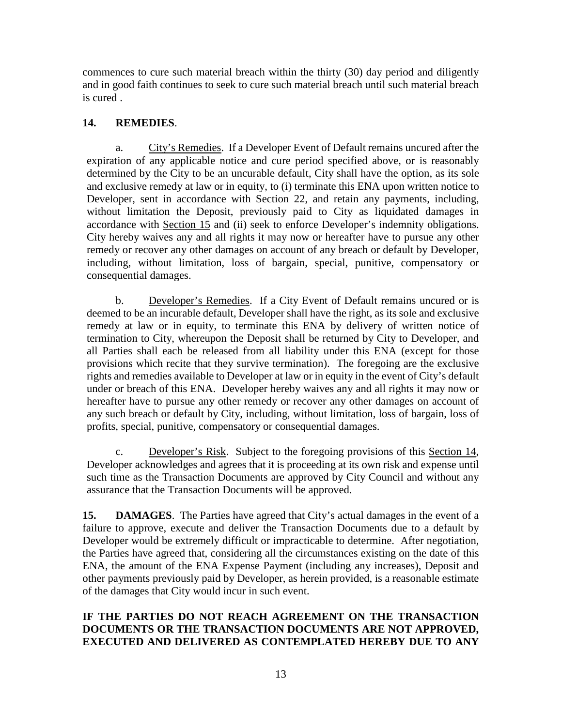commences to cure such material breach within the thirty (30) day period and diligently and in good faith continues to seek to cure such material breach until such material breach is cured .

## **14. REMEDIES**.

a. City's Remedies. If a Developer Event of Default remains uncured after the expiration of any applicable notice and cure period specified above, or is reasonably determined by the City to be an uncurable default, City shall have the option, as its sole and exclusive remedy at law or in equity, to (i) terminate this ENA upon written notice to Developer, sent in accordance with Section 22, and retain any payments, including, without limitation the Deposit, previously paid to City as liquidated damages in accordance with Section 15 and (ii) seek to enforce Developer's indemnity obligations. City hereby waives any and all rights it may now or hereafter have to pursue any other remedy or recover any other damages on account of any breach or default by Developer, including, without limitation, loss of bargain, special, punitive, compensatory or consequential damages.

b. Developer's Remedies. If a City Event of Default remains uncured or is deemed to be an incurable default, Developer shall have the right, as its sole and exclusive remedy at law or in equity, to terminate this ENA by delivery of written notice of termination to City, whereupon the Deposit shall be returned by City to Developer, and all Parties shall each be released from all liability under this ENA (except for those provisions which recite that they survive termination). The foregoing are the exclusive rights and remedies available to Developer at law or in equity in the event of City's default under or breach of this ENA. Developer hereby waives any and all rights it may now or hereafter have to pursue any other remedy or recover any other damages on account of any such breach or default by City, including, without limitation, loss of bargain, loss of profits, special, punitive, compensatory or consequential damages.

c. Developer's Risk. Subject to the foregoing provisions of this Section 14, Developer acknowledges and agrees that it is proceeding at its own risk and expense until such time as the Transaction Documents are approved by City Council and without any assurance that the Transaction Documents will be approved.

**15. DAMAGES**. The Parties have agreed that City's actual damages in the event of a failure to approve, execute and deliver the Transaction Documents due to a default by Developer would be extremely difficult or impracticable to determine. After negotiation, the Parties have agreed that, considering all the circumstances existing on the date of this ENA, the amount of the ENA Expense Payment (including any increases), Deposit and other payments previously paid by Developer, as herein provided, is a reasonable estimate of the damages that City would incur in such event.

## **IF THE PARTIES DO NOT REACH AGREEMENT ON THE TRANSACTION DOCUMENTS OR THE TRANSACTION DOCUMENTS ARE NOT APPROVED, EXECUTED AND DELIVERED AS CONTEMPLATED HEREBY DUE TO ANY**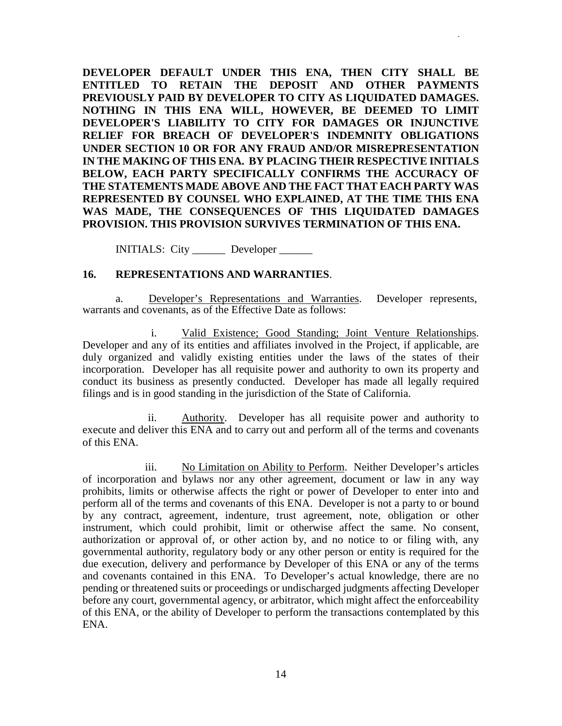**DEVELOPER DEFAULT UNDER THIS ENA, THEN CITY SHALL BE ENTITLED TO RETAIN THE DEPOSIT AND OTHER PAYMENTS PREVIOUSLY PAID BY DEVELOPER TO CITY AS LIQUIDATED DAMAGES. NOTHING IN THIS ENA WILL, HOWEVER, BE DEEMED TO LIMIT DEVELOPER'S LIABILITY TO CITY FOR DAMAGES OR INJUNCTIVE RELIEF FOR BREACH OF DEVELOPER'S INDEMNITY OBLIGATIONS UNDER SECTION 10 OR FOR ANY FRAUD AND/OR MISREPRESENTATION IN THE MAKING OF THIS ENA. BY PLACING THEIR RESPECTIVE INITIALS BELOW, EACH PARTY SPECIFICALLY CONFIRMS THE ACCURACY OF THE STATEMENTS MADE ABOVE AND THE FACT THAT EACH PARTY WAS REPRESENTED BY COUNSEL WHO EXPLAINED, AT THE TIME THIS ENA WAS MADE, THE CONSEQUENCES OF THIS LIQUIDATED DAMAGES PROVISION. THIS PROVISION SURVIVES TERMINATION OF THIS ENA.**

INITIALS: City \_\_\_\_\_\_ Developer \_\_\_\_\_\_

### **16. REPRESENTATIONS AND WARRANTIES**.

a. Developer's Representations and Warranties. Developer represents, warrants and covenants, as of the Effective Date as follows:

i. Valid Existence; Good Standing; Joint Venture Relationships. Developer and any of its entities and affiliates involved in the Project, if applicable, are duly organized and validly existing entities under the laws of the states of their incorporation. Developer has all requisite power and authority to own its property and conduct its business as presently conducted. Developer has made all legally required filings and is in good standing in the jurisdiction of the State of California.

ii. Authority. Developer has all requisite power and authority to execute and deliver this ENA and to carry out and perform all of the terms and covenants of this ENA.

iii. No Limitation on Ability to Perform. Neither Developer's articles of incorporation and bylaws nor any other agreement, document or law in any way prohibits, limits or otherwise affects the right or power of Developer to enter into and perform all of the terms and covenants of this ENA. Developer is not a party to or bound by any contract, agreement, indenture, trust agreement, note, obligation or other instrument, which could prohibit, limit or otherwise affect the same. No consent, authorization or approval of, or other action by, and no notice to or filing with, any governmental authority, regulatory body or any other person or entity is required for the due execution, delivery and performance by Developer of this ENA or any of the terms and covenants contained in this ENA. To Developer's actual knowledge, there are no pending or threatened suits or proceedings or undischarged judgments affecting Developer before any court, governmental agency, or arbitrator, which might affect the enforceability of this ENA, or the ability of Developer to perform the transactions contemplated by this ENA.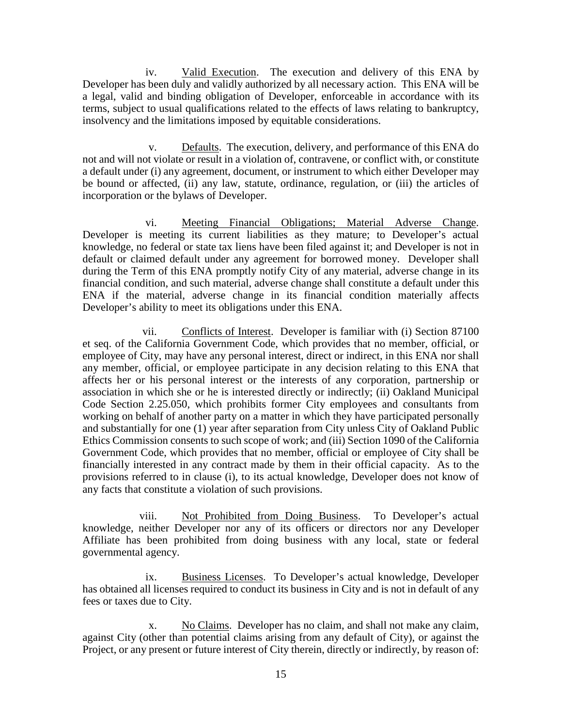iv. Valid Execution. The execution and delivery of this ENA by Developer has been duly and validly authorized by all necessary action. This ENA will be a legal, valid and binding obligation of Developer, enforceable in accordance with its terms, subject to usual qualifications related to the effects of laws relating to bankruptcy, insolvency and the limitations imposed by equitable considerations.

v. Defaults. The execution, delivery, and performance of this ENA do not and will not violate or result in a violation of, contravene, or conflict with, or constitute a default under (i) any agreement, document, or instrument to which either Developer may be bound or affected, (ii) any law, statute, ordinance, regulation, or (iii) the articles of incorporation or the bylaws of Developer.

vi. Meeting Financial Obligations; Material Adverse Change. Developer is meeting its current liabilities as they mature; to Developer's actual knowledge, no federal or state tax liens have been filed against it; and Developer is not in default or claimed default under any agreement for borrowed money. Developer shall during the Term of this ENA promptly notify City of any material, adverse change in its financial condition, and such material, adverse change shall constitute a default under this ENA if the material, adverse change in its financial condition materially affects Developer's ability to meet its obligations under this ENA.

vii. Conflicts of Interest. Developer is familiar with (i) Section 87100 et seq. of the California Government Code, which provides that no member, official, or employee of City, may have any personal interest, direct or indirect, in this ENA nor shall any member, official, or employee participate in any decision relating to this ENA that affects her or his personal interest or the interests of any corporation, partnership or association in which she or he is interested directly or indirectly; (ii) Oakland Municipal Code Section 2.25.050, which prohibits former City employees and consultants from working on behalf of another party on a matter in which they have participated personally and substantially for one (1) year after separation from City unless City of Oakland Public Ethics Commission consents to such scope of work; and (iii) Section 1090 of the California Government Code, which provides that no member, official or employee of City shall be financially interested in any contract made by them in their official capacity. As to the provisions referred to in clause (i), to its actual knowledge, Developer does not know of any facts that constitute a violation of such provisions.

viii. Not Prohibited from Doing Business. To Developer's actual knowledge, neither Developer nor any of its officers or directors nor any Developer Affiliate has been prohibited from doing business with any local, state or federal governmental agency.

ix. Business Licenses. To Developer's actual knowledge, Developer has obtained all licenses required to conduct its business in City and is not in default of any fees or taxes due to City.

x. No Claims. Developer has no claim, and shall not make any claim, against City (other than potential claims arising from any default of City), or against the Project, or any present or future interest of City therein, directly or indirectly, by reason of: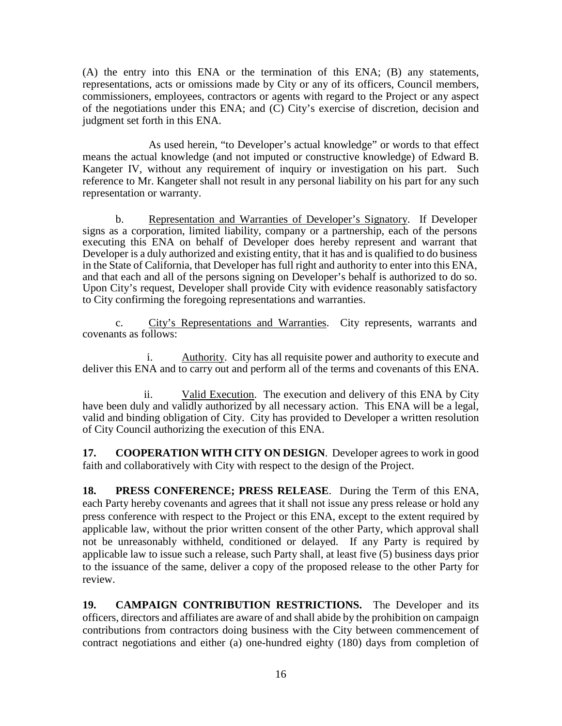(A) the entry into this ENA or the termination of this ENA; (B) any statements, representations, acts or omissions made by City or any of its officers, Council members, commissioners, employees, contractors or agents with regard to the Project or any aspect of the negotiations under this ENA; and (C) City's exercise of discretion, decision and judgment set forth in this ENA.

As used herein, "to Developer's actual knowledge" or words to that effect means the actual knowledge (and not imputed or constructive knowledge) of Edward B. Kangeter IV, without any requirement of inquiry or investigation on his part. Such reference to Mr. Kangeter shall not result in any personal liability on his part for any such representation or warranty.

b. Representation and Warranties of Developer's Signatory. If Developer signs as a corporation, limited liability, company or a partnership, each of the persons executing this ENA on behalf of Developer does hereby represent and warrant that Developer is a duly authorized and existing entity, that it has and is qualified to do business in the State of California, that Developer has full right and authority to enter into this ENA, and that each and all of the persons signing on Developer's behalf is authorized to do so. Upon City's request, Developer shall provide City with evidence reasonably satisfactory to City confirming the foregoing representations and warranties.

c. City's Representations and Warranties. City represents, warrants and covenants as follows:

i. Authority. City has all requisite power and authority to execute and deliver this ENA and to carry out and perform all of the terms and covenants of this ENA.

ii. Valid Execution. The execution and delivery of this ENA by City have been duly and validly authorized by all necessary action. This ENA will be a legal, valid and binding obligation of City. City has provided to Developer a written resolution of City Council authorizing the execution of this ENA.

**17. COOPERATION WITH CITY ON DESIGN**. Developer agrees to work in good faith and collaboratively with City with respect to the design of the Project.

**18. PRESS CONFERENCE; PRESS RELEASE**. During the Term of this ENA, each Party hereby covenants and agrees that it shall not issue any press release or hold any press conference with respect to the Project or this ENA, except to the extent required by applicable law, without the prior written consent of the other Party, which approval shall not be unreasonably withheld, conditioned or delayed. If any Party is required by applicable law to issue such a release, such Party shall, at least five (5) business days prior to the issuance of the same, deliver a copy of the proposed release to the other Party for review.

**19. CAMPAIGN CONTRIBUTION RESTRICTIONS.** The Developer and its officers, directors and affiliates are aware of and shall abide by the prohibition on campaign contributions from contractors doing business with the City between commencement of contract negotiations and either (a) one-hundred eighty (180) days from completion of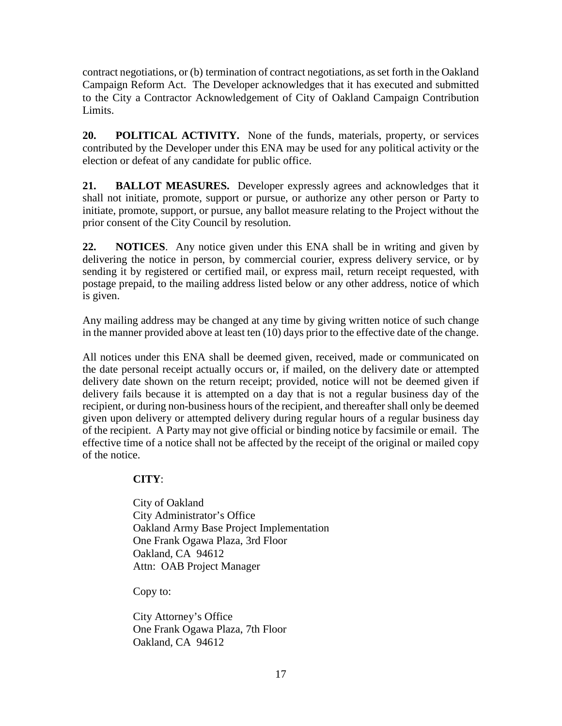contract negotiations, or (b) termination of contract negotiations, as set forth in the Oakland Campaign Reform Act. The Developer acknowledges that it has executed and submitted to the City a Contractor Acknowledgement of City of Oakland Campaign Contribution Limits.

**20. POLITICAL ACTIVITY.** None of the funds, materials, property, or services contributed by the Developer under this ENA may be used for any political activity or the election or defeat of any candidate for public office.

**21. BALLOT MEASURES.** Developer expressly agrees and acknowledges that it shall not initiate, promote, support or pursue, or authorize any other person or Party to initiate, promote, support, or pursue, any ballot measure relating to the Project without the prior consent of the City Council by resolution.

**22. NOTICES**. Any notice given under this ENA shall be in writing and given by delivering the notice in person, by commercial courier, express delivery service, or by sending it by registered or certified mail, or express mail, return receipt requested, with postage prepaid, to the mailing address listed below or any other address, notice of which is given.

Any mailing address may be changed at any time by giving written notice of such change in the manner provided above at least ten (10) days prior to the effective date of the change.

All notices under this ENA shall be deemed given, received, made or communicated on the date personal receipt actually occurs or, if mailed, on the delivery date or attempted delivery date shown on the return receipt; provided, notice will not be deemed given if delivery fails because it is attempted on a day that is not a regular business day of the recipient, or during non-business hours of the recipient, and thereafter shall only be deemed given upon delivery or attempted delivery during regular hours of a regular business day of the recipient. A Party may not give official or binding notice by facsimile or email. The effective time of a notice shall not be affected by the receipt of the original or mailed copy of the notice.

## **CITY**:

City of Oakland City Administrator's Office Oakland Army Base Project Implementation One Frank Ogawa Plaza, 3rd Floor Oakland, CA 94612 Attn: OAB Project Manager

Copy to:

City Attorney's Office One Frank Ogawa Plaza, 7th Floor Oakland, CA 94612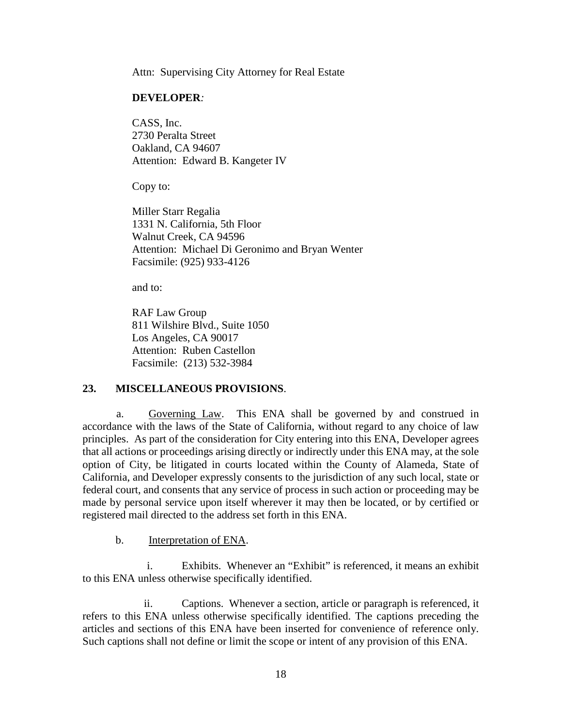Attn: Supervising City Attorney for Real Estate

#### **DEVELOPER***:*

CASS, Inc. 2730 Peralta Street Oakland, CA 94607 Attention: Edward B. Kangeter IV

Copy to:

Miller Starr Regalia 1331 N. California, 5th Floor Walnut Creek, CA 94596 Attention: Michael Di Geronimo and Bryan Wenter Facsimile: (925) 933-4126

and to:

RAF Law Group 811 Wilshire Blvd., Suite 1050 Los Angeles, CA 90017 Attention: Ruben Castellon Facsimile: (213) 532-3984

### **23. MISCELLANEOUS PROVISIONS**.

a. Governing Law. This ENA shall be governed by and construed in accordance with the laws of the State of California, without regard to any choice of law principles. As part of the consideration for City entering into this ENA, Developer agrees that all actions or proceedings arising directly or indirectly under this ENA may, at the sole option of City, be litigated in courts located within the County of Alameda, State of California, and Developer expressly consents to the jurisdiction of any such local, state or federal court, and consents that any service of process in such action or proceeding may be made by personal service upon itself wherever it may then be located, or by certified or registered mail directed to the address set forth in this ENA.

b. Interpretation of ENA.

i. Exhibits. Whenever an "Exhibit" is referenced, it means an exhibit to this ENA unless otherwise specifically identified.

ii. Captions. Whenever a section, article or paragraph is referenced, it refers to this ENA unless otherwise specifically identified. The captions preceding the articles and sections of this ENA have been inserted for convenience of reference only. Such captions shall not define or limit the scope or intent of any provision of this ENA.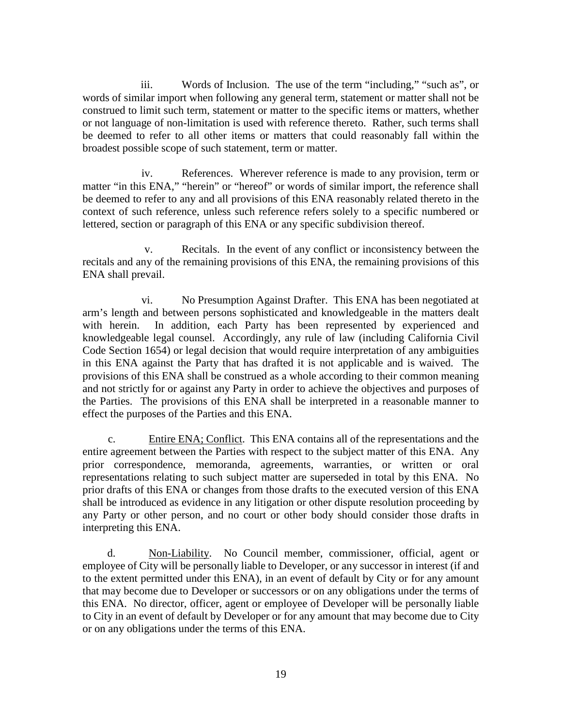iii. Words of Inclusion. The use of the term "including," "such as", or words of similar import when following any general term, statement or matter shall not be construed to limit such term, statement or matter to the specific items or matters, whether or not language of non-limitation is used with reference thereto. Rather, such terms shall be deemed to refer to all other items or matters that could reasonably fall within the broadest possible scope of such statement, term or matter.

iv. References. Wherever reference is made to any provision, term or matter "in this ENA," "herein" or "hereof" or words of similar import, the reference shall be deemed to refer to any and all provisions of this ENA reasonably related thereto in the context of such reference, unless such reference refers solely to a specific numbered or lettered, section or paragraph of this ENA or any specific subdivision thereof.

v. Recitals. In the event of any conflict or inconsistency between the recitals and any of the remaining provisions of this ENA, the remaining provisions of this ENA shall prevail.

vi. No Presumption Against Drafter. This ENA has been negotiated at arm's length and between persons sophisticated and knowledgeable in the matters dealt with herein. In addition, each Party has been represented by experienced and knowledgeable legal counsel. Accordingly, any rule of law (including California Civil Code Section 1654) or legal decision that would require interpretation of any ambiguities in this ENA against the Party that has drafted it is not applicable and is waived. The provisions of this ENA shall be construed as a whole according to their common meaning and not strictly for or against any Party in order to achieve the objectives and purposes of the Parties. The provisions of this ENA shall be interpreted in a reasonable manner to effect the purposes of the Parties and this ENA.

c. Entire ENA; Conflict. This ENA contains all of the representations and the entire agreement between the Parties with respect to the subject matter of this ENA. Any prior correspondence, memoranda, agreements, warranties, or written or oral representations relating to such subject matter are superseded in total by this ENA. No prior drafts of this ENA or changes from those drafts to the executed version of this ENA shall be introduced as evidence in any litigation or other dispute resolution proceeding by any Party or other person, and no court or other body should consider those drafts in interpreting this ENA.

d. Non-Liability. No Council member, commissioner, official, agent or employee of City will be personally liable to Developer, or any successor in interest (if and to the extent permitted under this ENA), in an event of default by City or for any amount that may become due to Developer or successors or on any obligations under the terms of this ENA. No director, officer, agent or employee of Developer will be personally liable to City in an event of default by Developer or for any amount that may become due to City or on any obligations under the terms of this ENA.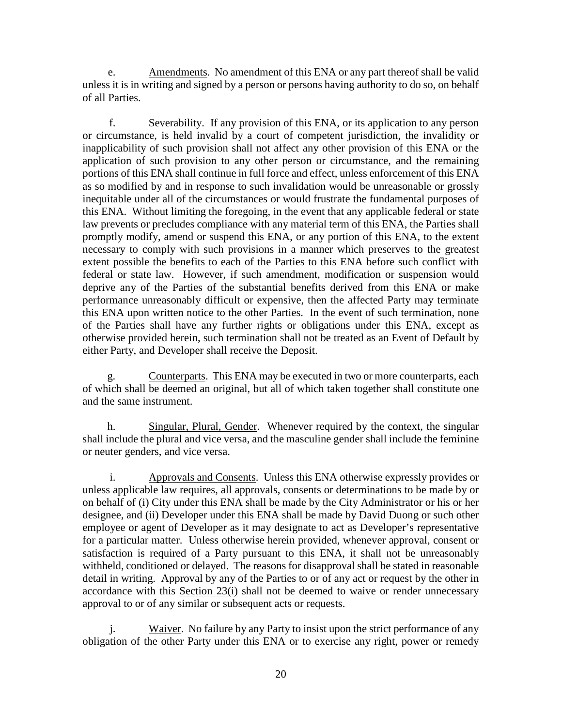e. Amendments. No amendment of this ENA or any part thereof shall be valid unless it is in writing and signed by a person or persons having authority to do so, on behalf of all Parties.

f. Severability. If any provision of this ENA, or its application to any person or circumstance, is held invalid by a court of competent jurisdiction, the invalidity or inapplicability of such provision shall not affect any other provision of this ENA or the application of such provision to any other person or circumstance, and the remaining portions of this ENA shall continue in full force and effect, unless enforcement of this ENA as so modified by and in response to such invalidation would be unreasonable or grossly inequitable under all of the circumstances or would frustrate the fundamental purposes of this ENA. Without limiting the foregoing, in the event that any applicable federal or state law prevents or precludes compliance with any material term of this ENA, the Parties shall promptly modify, amend or suspend this ENA, or any portion of this ENA, to the extent necessary to comply with such provisions in a manner which preserves to the greatest extent possible the benefits to each of the Parties to this ENA before such conflict with federal or state law. However, if such amendment, modification or suspension would deprive any of the Parties of the substantial benefits derived from this ENA or make performance unreasonably difficult or expensive, then the affected Party may terminate this ENA upon written notice to the other Parties. In the event of such termination, none of the Parties shall have any further rights or obligations under this ENA, except as otherwise provided herein, such termination shall not be treated as an Event of Default by either Party, and Developer shall receive the Deposit.

g. Counterparts. This ENA may be executed in two or more counterparts, each of which shall be deemed an original, but all of which taken together shall constitute one and the same instrument.

h. Singular, Plural, Gender. Whenever required by the context, the singular shall include the plural and vice versa, and the masculine gender shall include the feminine or neuter genders, and vice versa.

i. Approvals and Consents. Unless this ENA otherwise expressly provides or unless applicable law requires, all approvals, consents or determinations to be made by or on behalf of (i) City under this ENA shall be made by the City Administrator or his or her designee, and (ii) Developer under this ENA shall be made by David Duong or such other employee or agent of Developer as it may designate to act as Developer's representative for a particular matter. Unless otherwise herein provided, whenever approval, consent or satisfaction is required of a Party pursuant to this ENA, it shall not be unreasonably withheld, conditioned or delayed. The reasons for disapproval shall be stated in reasonable detail in writing. Approval by any of the Parties to or of any act or request by the other in accordance with this Section 23(i) shall not be deemed to waive or render unnecessary approval to or of any similar or subsequent acts or requests.

j. Waiver. No failure by any Party to insist upon the strict performance of any obligation of the other Party under this ENA or to exercise any right, power or remedy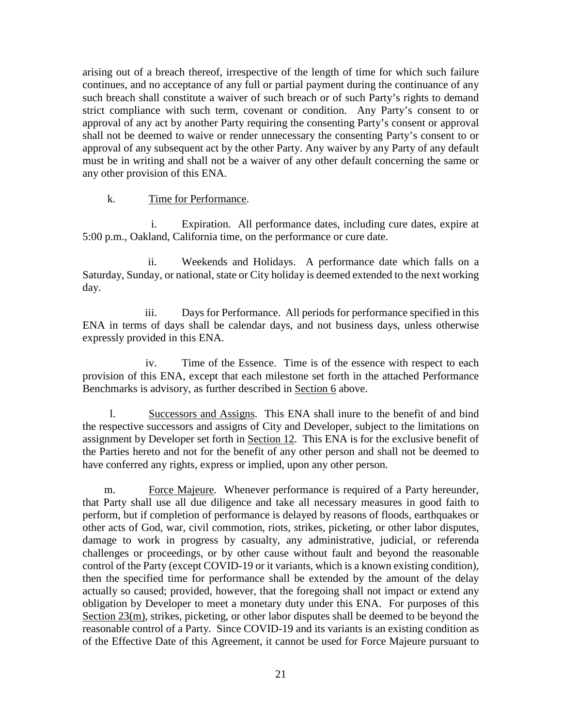arising out of a breach thereof, irrespective of the length of time for which such failure continues, and no acceptance of any full or partial payment during the continuance of any such breach shall constitute a waiver of such breach or of such Party's rights to demand strict compliance with such term, covenant or condition. Any Party's consent to or approval of any act by another Party requiring the consenting Party's consent or approval shall not be deemed to waive or render unnecessary the consenting Party's consent to or approval of any subsequent act by the other Party. Any waiver by any Party of any default must be in writing and shall not be a waiver of any other default concerning the same or any other provision of this ENA.

### k. Time for Performance.

i. Expiration. All performance dates, including cure dates, expire at 5:00 p.m., Oakland, California time, on the performance or cure date.

ii. Weekends and Holidays. A performance date which falls on a Saturday, Sunday, or national, state or City holiday is deemed extended to the next working day.

iii. Days for Performance. All periods for performance specified in this ENA in terms of days shall be calendar days, and not business days, unless otherwise expressly provided in this ENA.

iv. Time of the Essence. Time is of the essence with respect to each provision of this ENA, except that each milestone set forth in the attached Performance Benchmarks is advisory, as further described in Section 6 above.

l. Successors and Assigns. This ENA shall inure to the benefit of and bind the respective successors and assigns of City and Developer, subject to the limitations on assignment by Developer set forth in Section 12. This ENA is for the exclusive benefit of the Parties hereto and not for the benefit of any other person and shall not be deemed to have conferred any rights, express or implied, upon any other person.

m. Force Majeure. Whenever performance is required of a Party hereunder, that Party shall use all due diligence and take all necessary measures in good faith to perform, but if completion of performance is delayed by reasons of floods, earthquakes or other acts of God, war, civil commotion, riots, strikes, picketing, or other labor disputes, damage to work in progress by casualty, any administrative, judicial, or referenda challenges or proceedings, or by other cause without fault and beyond the reasonable control of the Party (except COVID-19 or it variants, which is a known existing condition), then the specified time for performance shall be extended by the amount of the delay actually so caused; provided, however, that the foregoing shall not impact or extend any obligation by Developer to meet a monetary duty under this ENA. For purposes of this Section 23(m), strikes, picketing, or other labor disputes shall be deemed to be beyond the reasonable control of a Party. Since COVID-19 and its variants is an existing condition as of the Effective Date of this Agreement, it cannot be used for Force Majeure pursuant to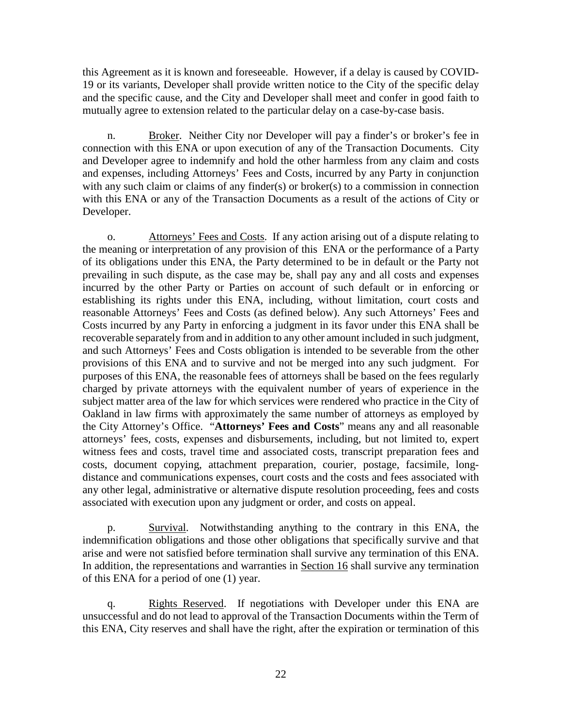this Agreement as it is known and foreseeable. However, if a delay is caused by COVID-19 or its variants, Developer shall provide written notice to the City of the specific delay and the specific cause, and the City and Developer shall meet and confer in good faith to mutually agree to extension related to the particular delay on a case-by-case basis.

n. Broker. Neither City nor Developer will pay a finder's or broker's fee in connection with this ENA or upon execution of any of the Transaction Documents. City and Developer agree to indemnify and hold the other harmless from any claim and costs and expenses, including Attorneys' Fees and Costs, incurred by any Party in conjunction with any such claim or claims of any finder(s) or broker(s) to a commission in connection with this ENA or any of the Transaction Documents as a result of the actions of City or Developer.

o. Attorneys' Fees and Costs. If any action arising out of a dispute relating to the meaning or interpretation of any provision of this ENA or the performance of a Party of its obligations under this ENA, the Party determined to be in default or the Party not prevailing in such dispute, as the case may be, shall pay any and all costs and expenses incurred by the other Party or Parties on account of such default or in enforcing or establishing its rights under this ENA, including, without limitation, court costs and reasonable Attorneys' Fees and Costs (as defined below). Any such Attorneys' Fees and Costs incurred by any Party in enforcing a judgment in its favor under this ENA shall be recoverable separately from and in addition to any other amount included in such judgment, and such Attorneys' Fees and Costs obligation is intended to be severable from the other provisions of this ENA and to survive and not be merged into any such judgment. For purposes of this ENA, the reasonable fees of attorneys shall be based on the fees regularly charged by private attorneys with the equivalent number of years of experience in the subject matter area of the law for which services were rendered who practice in the City of Oakland in law firms with approximately the same number of attorneys as employed by the City Attorney's Office. "**Attorneys' Fees and Costs**" means any and all reasonable attorneys' fees, costs, expenses and disbursements, including, but not limited to, expert witness fees and costs, travel time and associated costs, transcript preparation fees and costs, document copying, attachment preparation, courier, postage, facsimile, longdistance and communications expenses, court costs and the costs and fees associated with any other legal, administrative or alternative dispute resolution proceeding, fees and costs associated with execution upon any judgment or order, and costs on appeal.

p. Survival. Notwithstanding anything to the contrary in this ENA, the indemnification obligations and those other obligations that specifically survive and that arise and were not satisfied before termination shall survive any termination of this ENA. In addition, the representations and warranties in Section 16 shall survive any termination of this ENA for a period of one (1) year.

q. Rights Reserved. If negotiations with Developer under this ENA are unsuccessful and do not lead to approval of the Transaction Documents within the Term of this ENA, City reserves and shall have the right, after the expiration or termination of this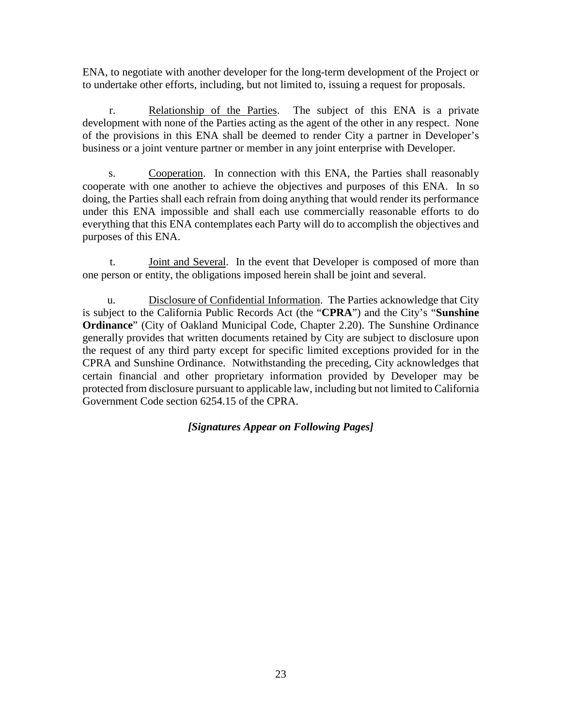ENA, to negotiate with another developer for the long-term development of the Project or to undertake other efforts, including, but not limited to, issuing a request for proposals.

r. Relationship of the Parties. The subject of this ENA is a private development with none of the Parties acting as the agent of the other in any respect. None of the provisions in this ENA shall be deemed to render City a partner in Developer's business or a joint venture partner or member in any joint enterprise with Developer.

s. Cooperation. In connection with this ENA, the Parties shall reasonably cooperate with one another to achieve the objectives and purposes of this ENA. In so doing, the Parties shall each refrain from doing anything that would render its performance under this ENA impossible and shall each use commercially reasonable efforts to do everything that this ENA contemplates each Party will do to accomplish the objectives and purposes of this ENA.

t. Joint and Several. In the event that Developer is composed of more than one person or entity, the obligations imposed herein shall be joint and several.

u. Disclosure of Confidential Information. The Parties acknowledge that City is subject to the California Public Records Act (the "**CPRA**") and the City's "**Sunshine Ordinance**" (City of Oakland Municipal Code, Chapter 2.20). The Sunshine Ordinance generally provides that written documents retained by City are subject to disclosure upon the request of any third party except for specific limited exceptions provided for in the CPRA and Sunshine Ordinance. Notwithstanding the preceding, City acknowledges that certain financial and other proprietary information provided by Developer may be protected from disclosure pursuant to applicable law, including but not limited to California Government Code section 6254.15 of the CPRA.

## *[Signatures Appear on Following Pages]*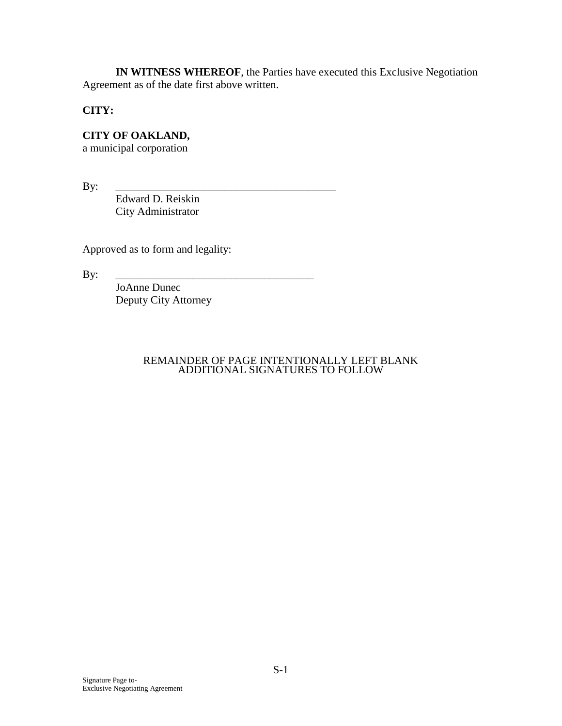**IN WITNESS WHEREOF**, the Parties have executed this Exclusive Negotiation Agreement as of the date first above written.

**CITY:**

**CITY OF OAKLAND,** 

a municipal corporation

By: \_\_\_\_\_\_\_\_\_\_\_\_\_\_\_\_\_\_\_\_\_\_\_\_\_\_\_\_\_\_\_\_\_\_\_\_\_\_\_\_

Edward D. Reiskin City Administrator

Approved as to form and legality:

By: \_\_\_\_\_\_\_\_\_\_\_\_\_\_\_\_\_\_\_\_\_\_\_\_\_\_\_\_\_\_\_\_\_\_\_\_

JoAnne Dunec Deputy City Attorney

### REMAINDER OF PAGE INTENTIONALLY LEFT BLANK ADDITIONAL SIGNATURES TO FOLLOW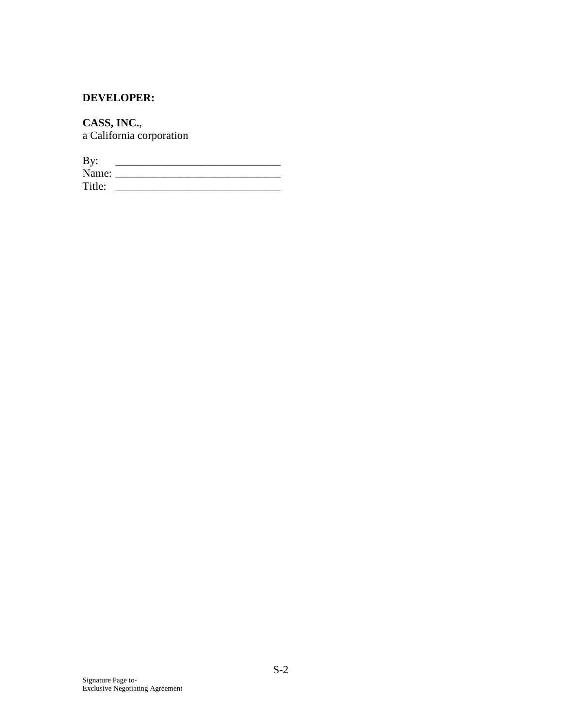# **DEVELOPER:**

**CASS, INC.**, a California corporation

| By:    |  |
|--------|--|
| Name:  |  |
| Title: |  |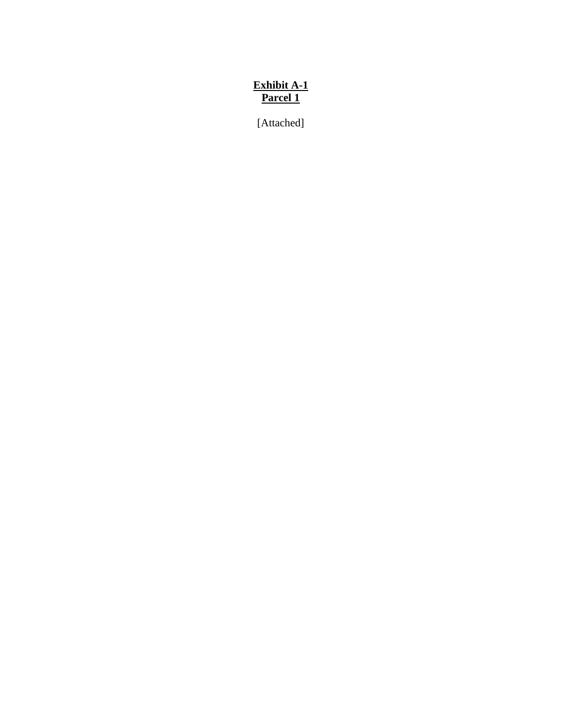# **Exhibit A-1 Parcel 1**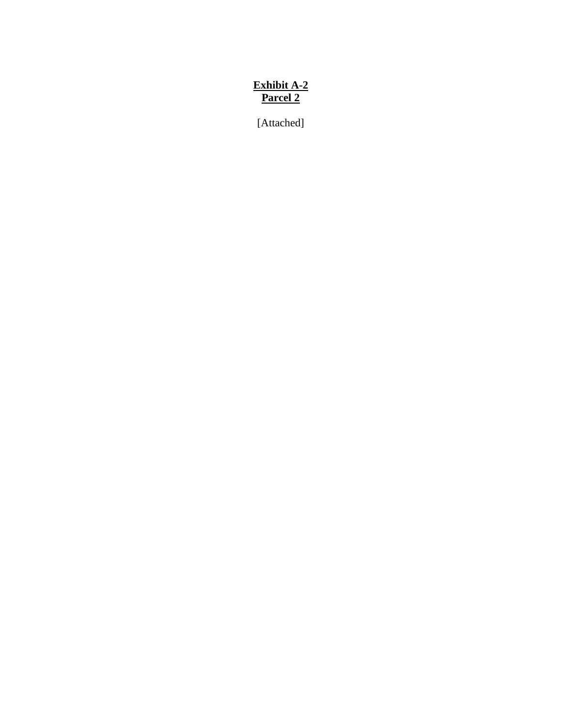# **Exhibit A-2 Parcel 2**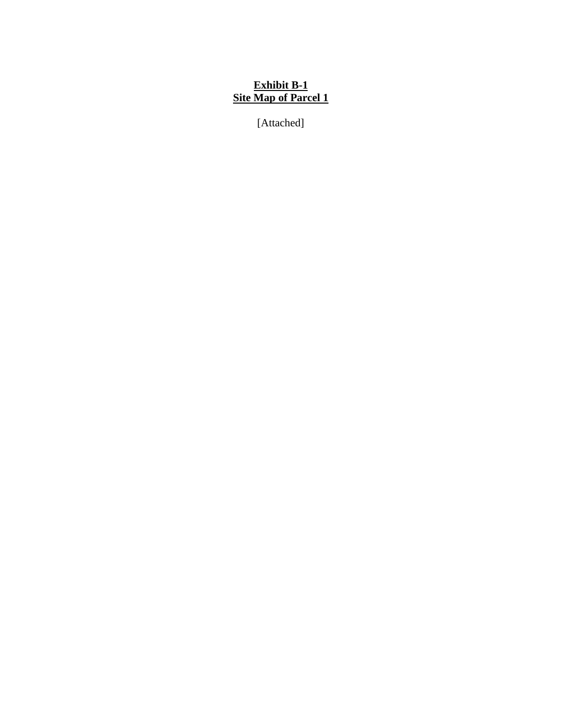## **Exhibit B-1 Site Map of Parcel 1**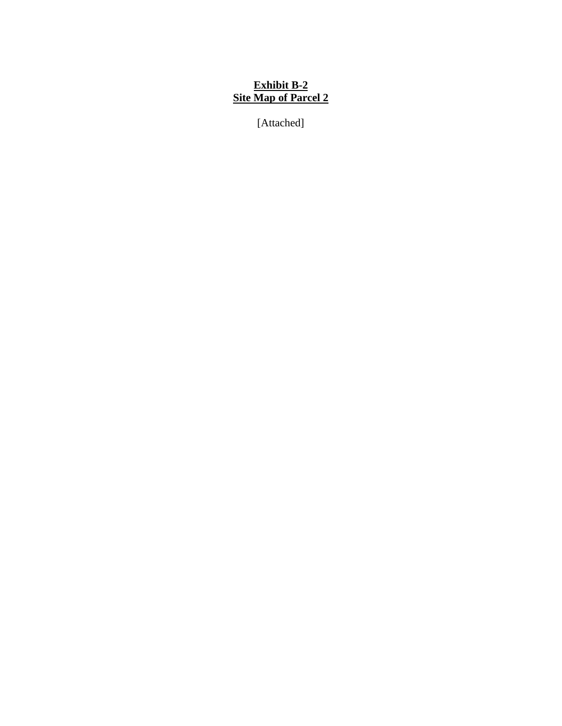## **Exhibit B-2 Site Map of Parcel 2**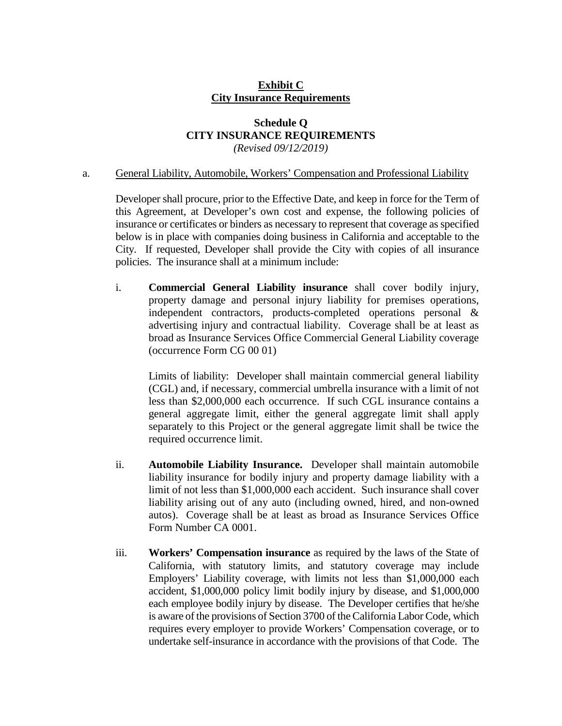## **Exhibit C City Insurance Requirements**

### **Schedule Q CITY INSURANCE REQUIREMENTS**  *(Revised 09/12/2019)*

### a. General Liability, Automobile, Workers' Compensation and Professional Liability

Developer shall procure, prior to the Effective Date, and keep in force for the Term of this Agreement, at Developer's own cost and expense, the following policies of insurance or certificates or binders as necessary to represent that coverage as specified below is in place with companies doing business in California and acceptable to the City. If requested, Developer shall provide the City with copies of all insurance policies. The insurance shall at a minimum include:

i. **Commercial General Liability insurance** shall cover bodily injury, property damage and personal injury liability for premises operations, independent contractors, products-completed operations personal & advertising injury and contractual liability. Coverage shall be at least as broad as Insurance Services Office Commercial General Liability coverage (occurrence Form CG 00 01)

Limits of liability: Developer shall maintain commercial general liability (CGL) and, if necessary, commercial umbrella insurance with a limit of not less than \$2,000,000 each occurrence. If such CGL insurance contains a general aggregate limit, either the general aggregate limit shall apply separately to this Project or the general aggregate limit shall be twice the required occurrence limit.

- ii. **Automobile Liability Insurance.** Developer shall maintain automobile liability insurance for bodily injury and property damage liability with a limit of not less than \$1,000,000 each accident. Such insurance shall cover liability arising out of any auto (including owned, hired, and non-owned autos). Coverage shall be at least as broad as Insurance Services Office Form Number CA 0001.
- iii. **Workers' Compensation insurance** as required by the laws of the State of California, with statutory limits, and statutory coverage may include Employers' Liability coverage, with limits not less than \$1,000,000 each accident, \$1,000,000 policy limit bodily injury by disease, and \$1,000,000 each employee bodily injury by disease. The Developer certifies that he/she is aware of the provisions of Section 3700 of the California Labor Code, which requires every employer to provide Workers' Compensation coverage, or to undertake self-insurance in accordance with the provisions of that Code. The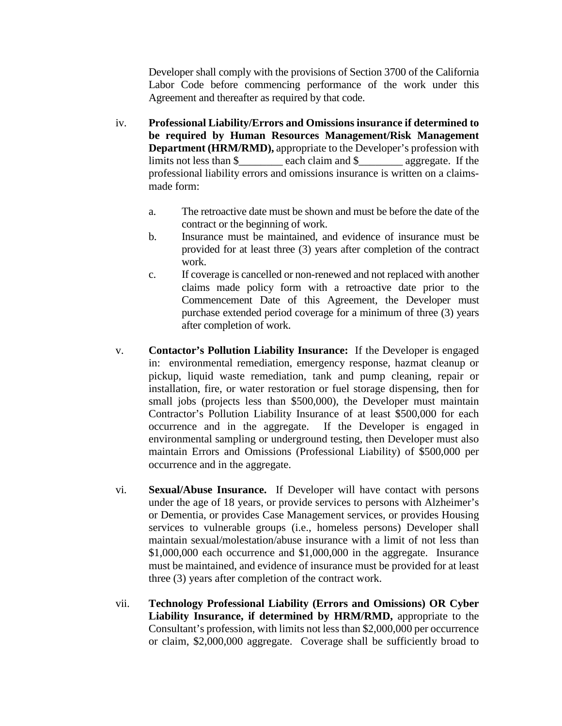Developer shall comply with the provisions of Section 3700 of the California Labor Code before commencing performance of the work under this Agreement and thereafter as required by that code.

- iv. **Professional Liability/Errors and Omissions insurance if determined to be required by Human Resources Management/Risk Management Department (HRM/RMD),** appropriate to the Developer's profession with limits not less than \$\_\_\_\_\_\_\_\_ each claim and \$\_\_\_\_\_\_\_\_ aggregate. If the professional liability errors and omissions insurance is written on a claimsmade form:
	- a. The retroactive date must be shown and must be before the date of the contract or the beginning of work.
	- b. Insurance must be maintained, and evidence of insurance must be provided for at least three (3) years after completion of the contract work.
	- c. If coverage is cancelled or non-renewed and not replaced with another claims made policy form with a retroactive date prior to the Commencement Date of this Agreement, the Developer must purchase extended period coverage for a minimum of three (3) years after completion of work.
- v. **Contactor's Pollution Liability Insurance:** If the Developer is engaged in: environmental remediation, emergency response, hazmat cleanup or pickup, liquid waste remediation, tank and pump cleaning, repair or installation, fire, or water restoration or fuel storage dispensing, then for small jobs (projects less than \$500,000), the Developer must maintain Contractor's Pollution Liability Insurance of at least \$500,000 for each occurrence and in the aggregate. If the Developer is engaged in environmental sampling or underground testing, then Developer must also maintain Errors and Omissions (Professional Liability) of \$500,000 per occurrence and in the aggregate.
- vi. **Sexual/Abuse Insurance.** If Developer will have contact with persons under the age of 18 years, or provide services to persons with Alzheimer's or Dementia, or provides Case Management services, or provides Housing services to vulnerable groups (i.e., homeless persons) Developer shall maintain sexual/molestation/abuse insurance with a limit of not less than \$1,000,000 each occurrence and \$1,000,000 in the aggregate. Insurance must be maintained, and evidence of insurance must be provided for at least three (3) years after completion of the contract work.
- vii. **Technology Professional Liability (Errors and Omissions) OR Cyber Liability Insurance, if determined by HRM/RMD,** appropriate to the Consultant's profession, with limits not less than \$2,000,000 per occurrence or claim, \$2,000,000 aggregate. Coverage shall be sufficiently broad to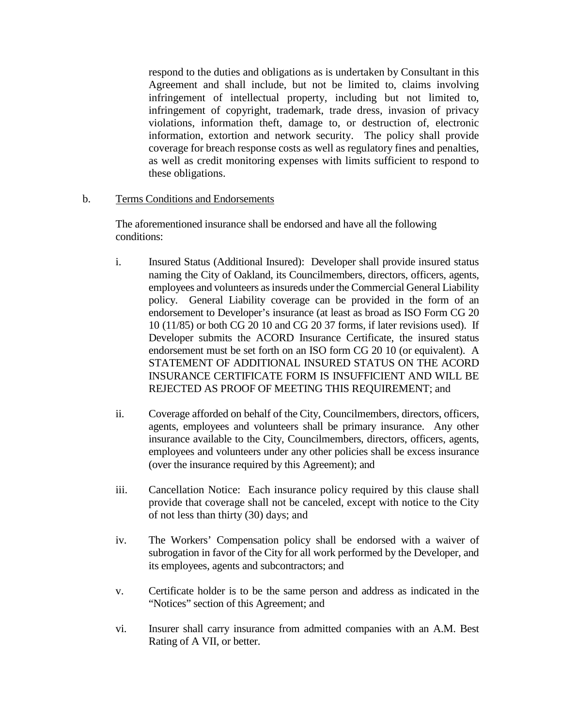respond to the duties and obligations as is undertaken by Consultant in this Agreement and shall include, but not be limited to, claims involving infringement of intellectual property, including but not limited to, infringement of copyright, trademark, trade dress, invasion of privacy violations, information theft, damage to, or destruction of, electronic information, extortion and network security. The policy shall provide coverage for breach response costs as well as regulatory fines and penalties, as well as credit monitoring expenses with limits sufficient to respond to these obligations.

b. Terms Conditions and Endorsements

The aforementioned insurance shall be endorsed and have all the following conditions:

- i. Insured Status (Additional Insured): Developer shall provide insured status naming the City of Oakland, its Councilmembers, directors, officers, agents, employees and volunteers as insureds under the Commercial General Liability policy. General Liability coverage can be provided in the form of an endorsement to Developer's insurance (at least as broad as ISO Form CG 20 10 (11/85) or both CG 20 10 and CG 20 37 forms, if later revisions used). If Developer submits the ACORD Insurance Certificate, the insured status endorsement must be set forth on an ISO form CG 20 10 (or equivalent). A STATEMENT OF ADDITIONAL INSURED STATUS ON THE ACORD INSURANCE CERTIFICATE FORM IS INSUFFICIENT AND WILL BE REJECTED AS PROOF OF MEETING THIS REQUIREMENT; and
- ii. Coverage afforded on behalf of the City, Councilmembers, directors, officers, agents, employees and volunteers shall be primary insurance. Any other insurance available to the City, Councilmembers, directors, officers, agents, employees and volunteers under any other policies shall be excess insurance (over the insurance required by this Agreement); and
- iii. Cancellation Notice: Each insurance policy required by this clause shall provide that coverage shall not be canceled, except with notice to the City of not less than thirty (30) days; and
- iv. The Workers' Compensation policy shall be endorsed with a waiver of subrogation in favor of the City for all work performed by the Developer, and its employees, agents and subcontractors; and
- v. Certificate holder is to be the same person and address as indicated in the "Notices" section of this Agreement; and
- vi. Insurer shall carry insurance from admitted companies with an A.M. Best Rating of A VII, or better.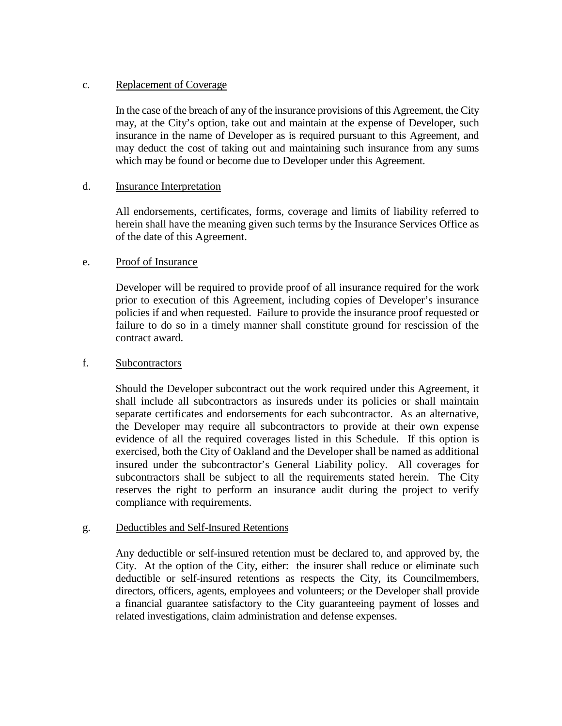### c. Replacement of Coverage

In the case of the breach of any of the insurance provisions of this Agreement, the City may, at the City's option, take out and maintain at the expense of Developer, such insurance in the name of Developer as is required pursuant to this Agreement, and may deduct the cost of taking out and maintaining such insurance from any sums which may be found or become due to Developer under this Agreement.

### d. Insurance Interpretation

All endorsements, certificates, forms, coverage and limits of liability referred to herein shall have the meaning given such terms by the Insurance Services Office as of the date of this Agreement.

### e. Proof of Insurance

Developer will be required to provide proof of all insurance required for the work prior to execution of this Agreement, including copies of Developer's insurance policies if and when requested. Failure to provide the insurance proof requested or failure to do so in a timely manner shall constitute ground for rescission of the contract award.

### f. Subcontractors

Should the Developer subcontract out the work required under this Agreement, it shall include all subcontractors as insureds under its policies or shall maintain separate certificates and endorsements for each subcontractor. As an alternative, the Developer may require all subcontractors to provide at their own expense evidence of all the required coverages listed in this Schedule. If this option is exercised, both the City of Oakland and the Developer shall be named as additional insured under the subcontractor's General Liability policy. All coverages for subcontractors shall be subject to all the requirements stated herein. The City reserves the right to perform an insurance audit during the project to verify compliance with requirements.

### g. Deductibles and Self-Insured Retentions

Any deductible or self-insured retention must be declared to, and approved by, the City. At the option of the City, either: the insurer shall reduce or eliminate such deductible or self-insured retentions as respects the City, its Councilmembers, directors, officers, agents, employees and volunteers; or the Developer shall provide a financial guarantee satisfactory to the City guaranteeing payment of losses and related investigations, claim administration and defense expenses.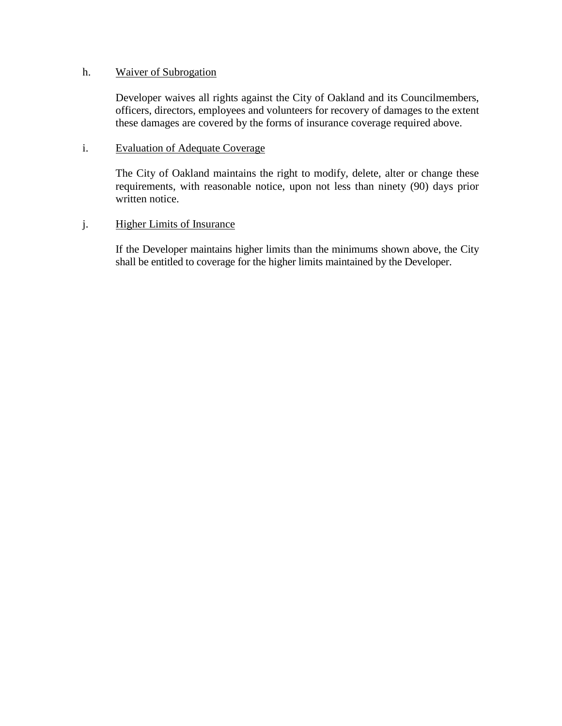### h. Waiver of Subrogation

Developer waives all rights against the City of Oakland and its Councilmembers, officers, directors, employees and volunteers for recovery of damages to the extent these damages are covered by the forms of insurance coverage required above.

### i. Evaluation of Adequate Coverage

The City of Oakland maintains the right to modify, delete, alter or change these requirements, with reasonable notice, upon not less than ninety (90) days prior written notice.

## j. Higher Limits of Insurance

If the Developer maintains higher limits than the minimums shown above, the City shall be entitled to coverage for the higher limits maintained by the Developer.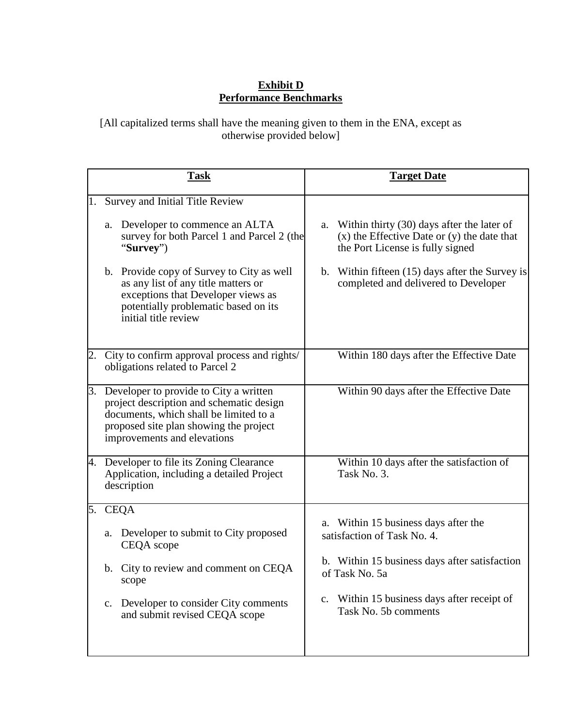## **Exhibit D Performance Benchmarks**

[All capitalized terms shall have the meaning given to them in the ENA, except as otherwise provided below]

| <b>Task</b> |                                                                                                                                                                                                       | <b>Target Date</b>                                                                                                                                             |                                                                        |                                                                                                                                   |
|-------------|-------------------------------------------------------------------------------------------------------------------------------------------------------------------------------------------------------|----------------------------------------------------------------------------------------------------------------------------------------------------------------|------------------------------------------------------------------------|-----------------------------------------------------------------------------------------------------------------------------------|
| 1.          |                                                                                                                                                                                                       | Survey and Initial Title Review                                                                                                                                |                                                                        |                                                                                                                                   |
|             | "Survey")                                                                                                                                                                                             | a. Developer to commence an ALTA<br>survey for both Parcel 1 and Parcel 2 (the                                                                                 | a.                                                                     | Within thirty (30) days after the later of<br>$(x)$ the Effective Date or $(y)$ the date that<br>the Port License is fully signed |
|             | initial title review                                                                                                                                                                                  | b. Provide copy of Survey to City as well<br>as any list of any title matters or<br>exceptions that Developer views as<br>potentially problematic based on its | $\mathbf{b}$ .                                                         | Within fifteen (15) days after the Survey is<br>completed and delivered to Developer                                              |
| 2.          |                                                                                                                                                                                                       | City to confirm approval process and rights/<br>obligations related to Parcel 2                                                                                |                                                                        | Within 180 days after the Effective Date                                                                                          |
| 3.          | Developer to provide to City a written<br>project description and schematic design<br>documents, which shall be limited to a<br>proposed site plan showing the project<br>improvements and elevations |                                                                                                                                                                |                                                                        | Within 90 days after the Effective Date                                                                                           |
| 4.          | Developer to file its Zoning Clearance<br>Application, including a detailed Project<br>description                                                                                                    |                                                                                                                                                                |                                                                        | Within 10 days after the satisfaction of<br>Task No. 3.                                                                           |
| 5.          | <b>CEQA</b>                                                                                                                                                                                           |                                                                                                                                                                |                                                                        |                                                                                                                                   |
|             | a.<br>CEQA scope                                                                                                                                                                                      | Developer to submit to City proposed                                                                                                                           | Within 15 business days after the<br>a.<br>satisfaction of Task No. 4. |                                                                                                                                   |
|             | $\mathbf{b}$ .<br>scope                                                                                                                                                                               | City to review and comment on CEQA                                                                                                                             |                                                                        | b. Within 15 business days after satisfaction<br>of Task No. 5a                                                                   |
|             |                                                                                                                                                                                                       | c. Developer to consider City comments<br>and submit revised CEQA scope                                                                                        | $c_{\cdot}$                                                            | Within 15 business days after receipt of<br>Task No. 5b comments                                                                  |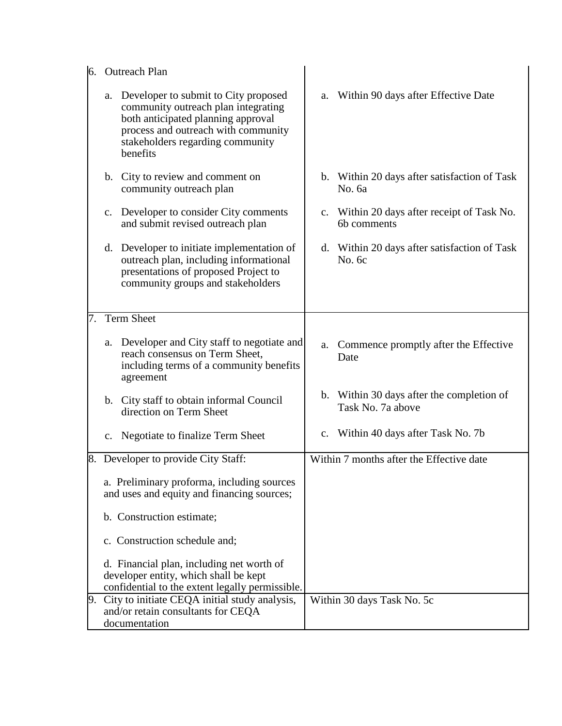| 6. | <b>Outreach Plan</b>                                                                                 |                                                                                                                                                                                                             |    |                                                                |
|----|------------------------------------------------------------------------------------------------------|-------------------------------------------------------------------------------------------------------------------------------------------------------------------------------------------------------------|----|----------------------------------------------------------------|
|    |                                                                                                      | a. Developer to submit to City proposed<br>community outreach plan integrating<br>both anticipated planning approval<br>process and outreach with community<br>stakeholders regarding community<br>benefits | a. | Within 90 days after Effective Date                            |
|    |                                                                                                      | b. City to review and comment on<br>community outreach plan                                                                                                                                                 |    | b. Within 20 days after satisfaction of Task<br>No. 6a         |
|    | c.                                                                                                   | Developer to consider City comments<br>and submit revised outreach plan                                                                                                                                     | c. | Within 20 days after receipt of Task No.<br>6b comments        |
|    |                                                                                                      | d. Developer to initiate implementation of<br>outreach plan, including informational<br>presentations of proposed Project to<br>community groups and stakeholders                                           |    | d. Within 20 days after satisfaction of Task<br>No. 6c         |
| 7. | <b>Term Sheet</b>                                                                                    |                                                                                                                                                                                                             |    |                                                                |
|    |                                                                                                      | a. Developer and City staff to negotiate and<br>reach consensus on Term Sheet,<br>including terms of a community benefits<br>agreement                                                                      |    | a. Commence promptly after the Effective<br>Date               |
|    |                                                                                                      | b. City staff to obtain informal Council<br>direction on Term Sheet                                                                                                                                         |    | b. Within 30 days after the completion of<br>Task No. 7a above |
|    |                                                                                                      | c. Negotiate to finalize Term Sheet                                                                                                                                                                         | c. | Within 40 days after Task No. 7b                               |
|    |                                                                                                      | 8. Developer to provide City Staff:                                                                                                                                                                         |    | Within 7 months after the Effective date                       |
|    |                                                                                                      | a. Preliminary proforma, including sources<br>and uses and equity and financing sources;                                                                                                                    |    |                                                                |
|    |                                                                                                      | b. Construction estimate;                                                                                                                                                                                   |    |                                                                |
|    |                                                                                                      | c. Construction schedule and;                                                                                                                                                                               |    |                                                                |
|    |                                                                                                      | d. Financial plan, including net worth of<br>developer entity, which shall be kept<br>confidential to the extent legally permissible.                                                                       |    |                                                                |
| 9. | City to initiate CEQA initial study analysis,<br>and/or retain consultants for CEQA<br>documentation |                                                                                                                                                                                                             |    | Within 30 days Task No. 5c                                     |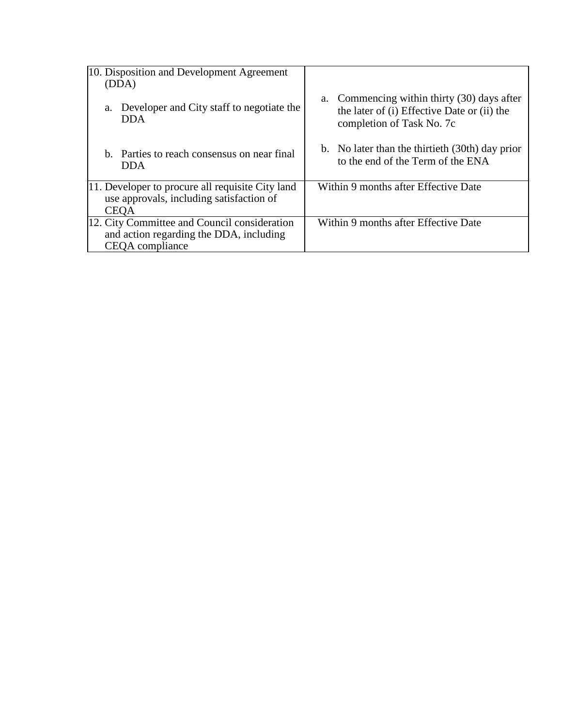| 10. Disposition and Development Agreement<br>(DDA)                                                          |                                                                                                                            |
|-------------------------------------------------------------------------------------------------------------|----------------------------------------------------------------------------------------------------------------------------|
| Developer and City staff to negotiate the<br>a.<br><b>DDA</b>                                               | Commencing within thirty (30) days after<br>a.<br>the later of (i) Effective Date or (ii) the<br>completion of Task No. 7c |
| b. Parties to reach consensus on near final<br><b>DDA</b>                                                   | b. No later than the thirtieth (30th) day prior<br>to the end of the Term of the ENA                                       |
| 11. Developer to procure all requisite City land<br>use approvals, including satisfaction of<br><b>CEOA</b> | Within 9 months after Effective Date                                                                                       |
| 12. City Committee and Council consideration<br>and action regarding the DDA, including<br>CEQA compliance  | Within 9 months after Effective Date                                                                                       |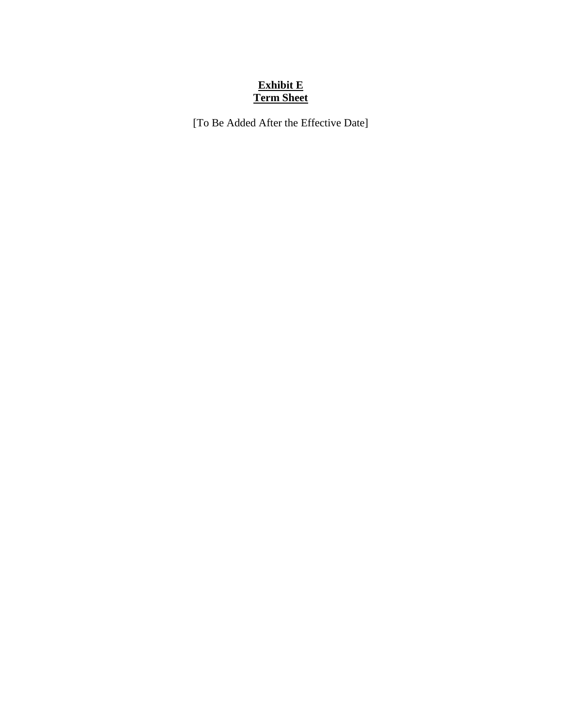## **Exhibit E Term Sheet**

[To Be Added After the Effective Date]